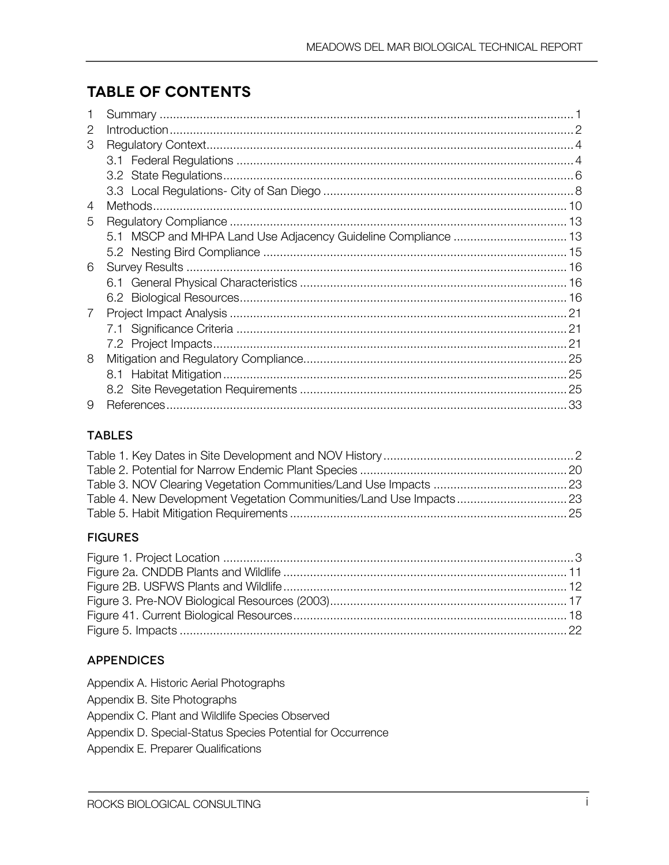# **TABLE OF CONTENTS**

| 2 |  |
|---|--|
| 3 |  |
|   |  |
|   |  |
|   |  |
| 4 |  |
| 5 |  |
|   |  |
|   |  |
| 6 |  |
|   |  |
|   |  |
| 7 |  |
|   |  |
|   |  |
| 8 |  |
|   |  |
|   |  |
| 9 |  |

### **TABLES**

### **FIGURES**

### **APPENDICES**

- Appendix A. Historic Aerial Photographs
- Appendix B. Site Photographs
- Appendix C. Plant and Wildlife Species Observed
- Appendix D. Special-Status Species Potential for Occurrence
- Appendix E. Preparer Qualifications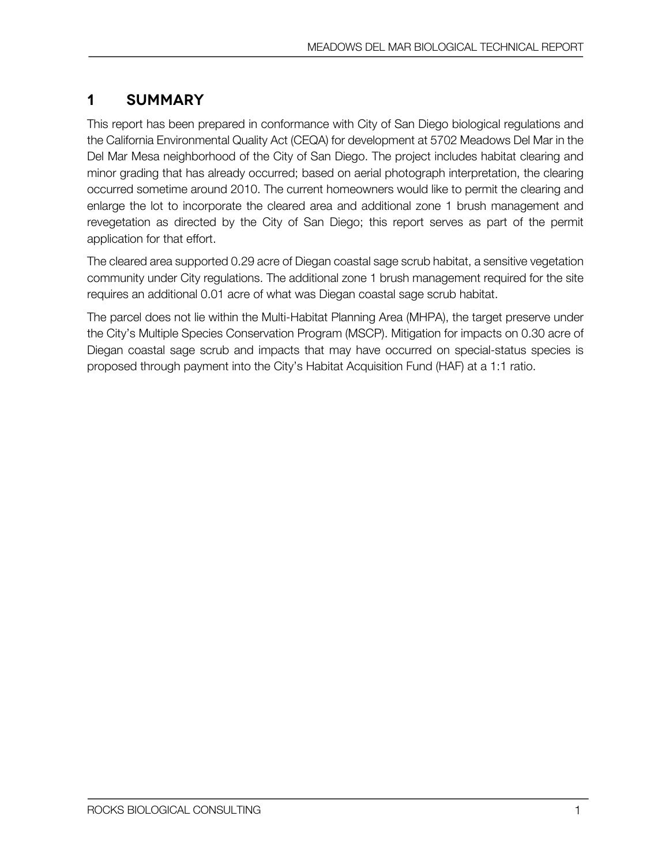# **1 Summary**

This report has been prepared in conformance with City of San Diego biological regulations and the California Environmental Quality Act (CEQA) for development at 5702 Meadows Del Mar in the Del Mar Mesa neighborhood of the City of San Diego. The project includes habitat clearing and minor grading that has already occurred; based on aerial photograph interpretation, the clearing occurred sometime around 2010. The current homeowners would like to permit the clearing and enlarge the lot to incorporate the cleared area and additional zone 1 brush management and revegetation as directed by the City of San Diego; this report serves as part of the permit application for that effort.

The cleared area supported 0.29 acre of Diegan coastal sage scrub habitat, a sensitive vegetation community under City regulations. The additional zone 1 brush management required for the site requires an additional 0.01 acre of what was Diegan coastal sage scrub habitat.

The parcel does not lie within the Multi-Habitat Planning Area (MHPA), the target preserve under the City's Multiple Species Conservation Program (MSCP). Mitigation for impacts on 0.30 acre of Diegan coastal sage scrub and impacts that may have occurred on special-status species is proposed through payment into the City's Habitat Acquisition Fund (HAF) at a 1:1 ratio.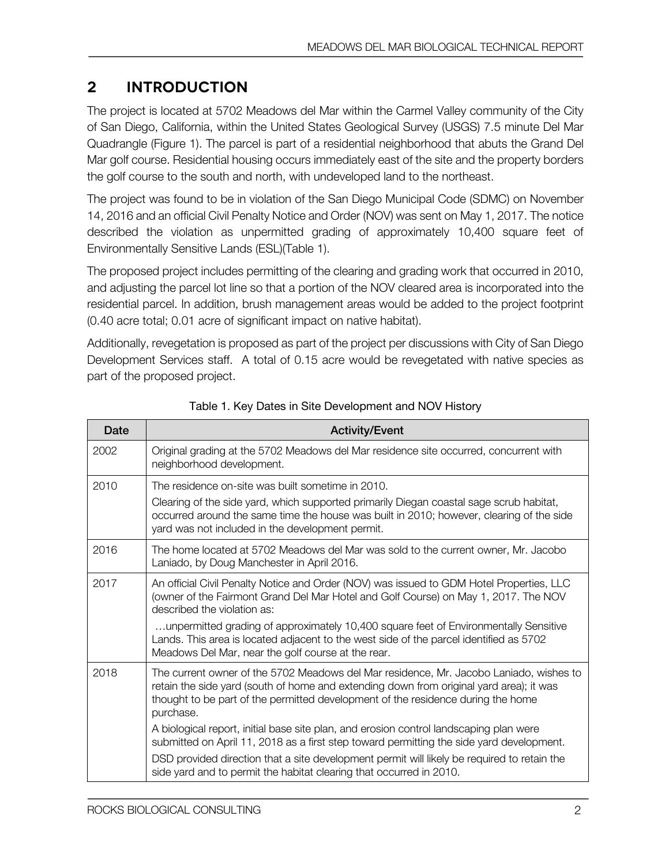# **2 Introduction**

The project is located at 5702 Meadows del Mar within the Carmel Valley community of the City of San Diego, California, within the United States Geological Survey (USGS) 7.5 minute Del Mar Quadrangle (Figure 1). The parcel is part of a residential neighborhood that abuts the Grand Del Mar golf course. Residential housing occurs immediately east of the site and the property borders the golf course to the south and north, with undeveloped land to the northeast.

The project was found to be in violation of the San Diego Municipal Code (SDMC) on November 14, 2016 and an official Civil Penalty Notice and Order (NOV) was sent on May 1, 2017. The notice described the violation as unpermitted grading of approximately 10,400 square feet of Environmentally Sensitive Lands (ESL)(Table 1).

The proposed project includes permitting of the clearing and grading work that occurred in 2010, and adjusting the parcel lot line so that a portion of the NOV cleared area is incorporated into the residential parcel. In addition, brush management areas would be added to the project footprint (0.40 acre total; 0.01 acre of significant impact on native habitat).

Additionally, revegetation is proposed as part of the project per discussions with City of San Diego Development Services staff. A total of 0.15 acre would be revegetated with native species as part of the proposed project.

| Date | <b>Activity/Event</b>                                                                                                                                                                                                                                                                                                                                                                                                                                                    |
|------|--------------------------------------------------------------------------------------------------------------------------------------------------------------------------------------------------------------------------------------------------------------------------------------------------------------------------------------------------------------------------------------------------------------------------------------------------------------------------|
| 2002 | Original grading at the 5702 Meadows del Mar residence site occurred, concurrent with<br>neighborhood development.                                                                                                                                                                                                                                                                                                                                                       |
| 2010 | The residence on-site was built sometime in 2010.<br>Clearing of the side yard, which supported primarily Diegan coastal sage scrub habitat,<br>occurred around the same time the house was built in 2010; however, clearing of the side<br>yard was not included in the development permit.                                                                                                                                                                             |
| 2016 | The home located at 5702 Meadows del Mar was sold to the current owner, Mr. Jacobo<br>Laniado, by Doug Manchester in April 2016.                                                                                                                                                                                                                                                                                                                                         |
| 2017 | An official Civil Penalty Notice and Order (NOV) was issued to GDM Hotel Properties, LLC<br>(owner of the Fairmont Grand Del Mar Hotel and Golf Course) on May 1, 2017. The NOV<br>described the violation as:<br>unpermitted grading of approximately 10,400 square feet of Environmentally Sensitive<br>Lands. This area is located adjacent to the west side of the parcel identified as 5702<br>Meadows Del Mar, near the golf course at the rear.                   |
| 2018 | The current owner of the 5702 Meadows del Mar residence, Mr. Jacobo Laniado, wishes to<br>retain the side yard (south of home and extending down from original yard area); it was<br>thought to be part of the permitted development of the residence during the home<br>purchase.<br>A biological report, initial base site plan, and erosion control landscaping plan were<br>submitted on April 11, 2018 as a first step toward permitting the side yard development. |
|      | DSD provided direction that a site development permit will likely be required to retain the<br>side yard and to permit the habitat clearing that occurred in 2010.                                                                                                                                                                                                                                                                                                       |

Table 1. Key Dates in Site Development and NOV History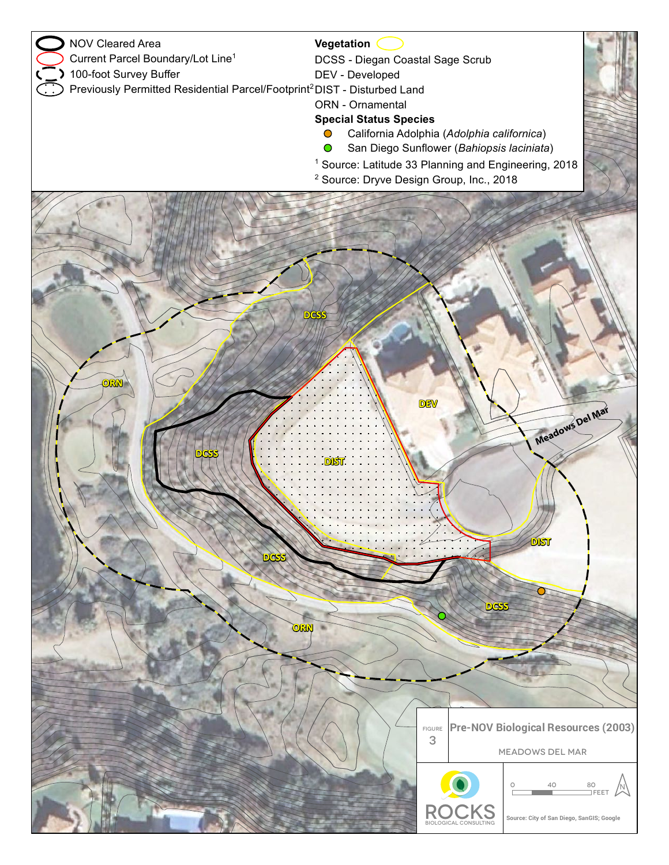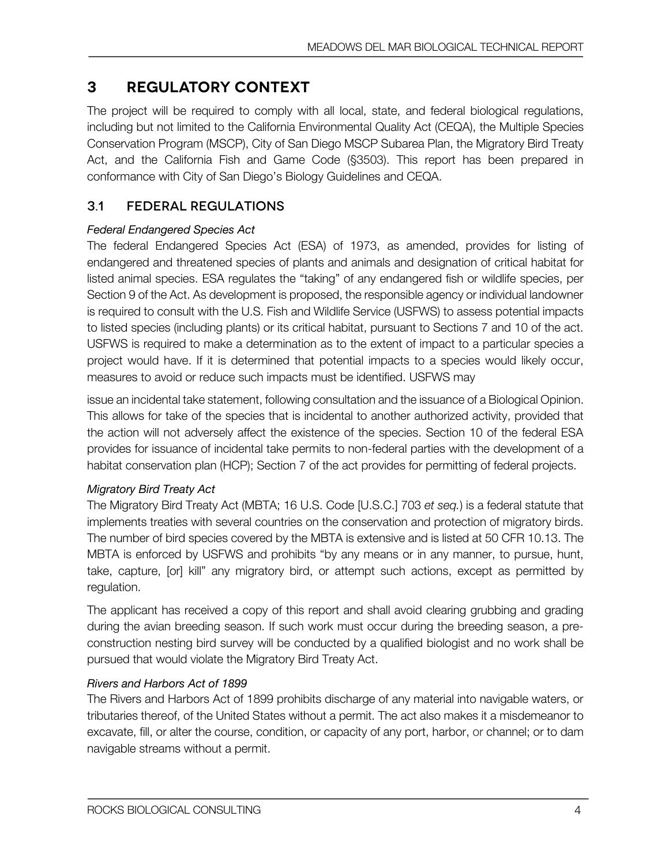# **3 Regulatory Context**

The project will be required to comply with all local, state, and federal biological regulations, including but not limited to the California Environmental Quality Act (CEQA), the Multiple Species Conservation Program (MSCP), City of San Diego MSCP Subarea Plan, the Migratory Bird Treaty Act, and the California Fish and Game Code (§3503). This report has been prepared in conformance with City of San Diego's Biology Guidelines and CEQA.

## 3.1 FEDERAL REGULATIONS

### *Federal Endangered Species Act*

The federal Endangered Species Act (ESA) of 1973, as amended, provides for listing of endangered and threatened species of plants and animals and designation of critical habitat for listed animal species. ESA regulates the "taking" of any endangered fish or wildlife species, per Section 9 of the Act. As development is proposed, the responsible agency or individual landowner is required to consult with the U.S. Fish and Wildlife Service (USFWS) to assess potential impacts to listed species (including plants) or its critical habitat, pursuant to Sections 7 and 10 of the act. USFWS is required to make a determination as to the extent of impact to a particular species a project would have. If it is determined that potential impacts to a species would likely occur, measures to avoid or reduce such impacts must be identified. USFWS may

issue an incidental take statement, following consultation and the issuance of a Biological Opinion. This allows for take of the species that is incidental to another authorized activity, provided that the action will not adversely affect the existence of the species. Section 10 of the federal ESA provides for issuance of incidental take permits to non-federal parties with the development of a habitat conservation plan (HCP); Section 7 of the act provides for permitting of federal projects.

### *Migratory Bird Treaty Act*

The Migratory Bird Treaty Act (MBTA; 16 U.S. Code [U.S.C.] 703 *et seq.*) is a federal statute that implements treaties with several countries on the conservation and protection of migratory birds. The number of bird species covered by the MBTA is extensive and is listed at 50 CFR 10.13. The MBTA is enforced by USFWS and prohibits "by any means or in any manner, to pursue, hunt, take, capture, [or] kill" any migratory bird, or attempt such actions, except as permitted by regulation.

The applicant has received a copy of this report and shall avoid clearing grubbing and grading during the avian breeding season. If such work must occur during the breeding season, a preconstruction nesting bird survey will be conducted by a qualified biologist and no work shall be pursued that would violate the Migratory Bird Treaty Act.

### *Rivers and Harbors Act of 1899*

The Rivers and Harbors Act of 1899 prohibits discharge of any material into navigable waters, or tributaries thereof, of the United States without a permit. The act also makes it a misdemeanor to excavate, fill, or alter the course, condition, or capacity of any port, harbor, or channel; or to dam navigable streams without a permit.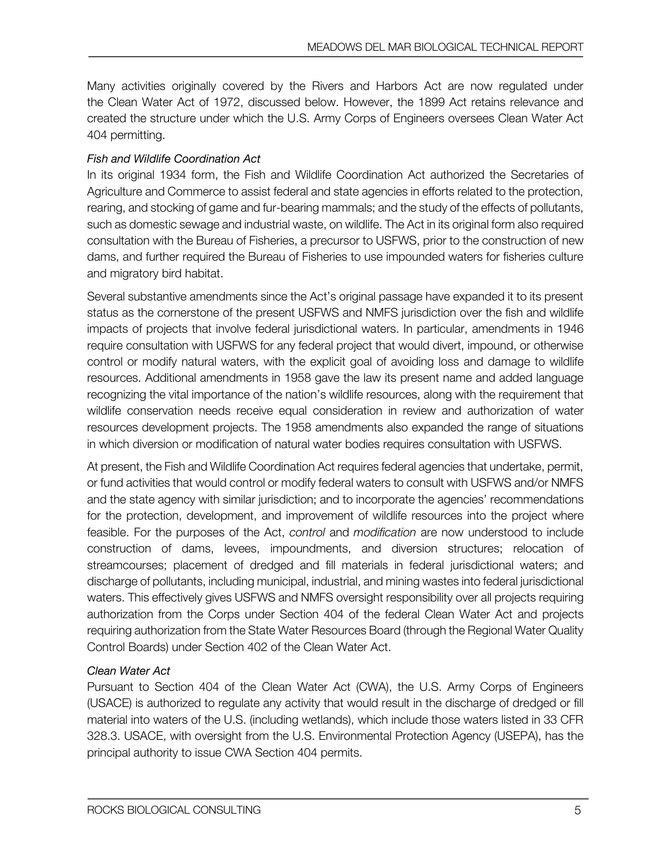Many activities originally covered by the Rivers and Harbors Act are now regulated under the Clean Water Act of 1972, discussed below. However, the 1899 Act retains relevance and created the structure under which the U.S. Army Corps of Engineers oversees Clean Water Act 404 permitting.

### *Fish and Wildlife Coordination Act*

In its original 1934 form, the Fish and Wildlife Coordination Act authorized the Secretaries of Agriculture and Commerce to assist federal and state agencies in efforts related to the protection, rearing, and stocking of game and fur-bearing mammals; and the study of the effects of pollutants, such as domestic sewage and industrial waste, on wildlife. The Act in its original form also required consultation with the Bureau of Fisheries, a precursor to USFWS, prior to the construction of new dams, and further required the Bureau of Fisheries to use impounded waters for fisheries culture and migratory bird habitat.

Several substantive amendments since the Act's original passage have expanded it to its present status as the cornerstone of the present USFWS and NMFS jurisdiction over the fish and wildlife impacts of projects that involve federal jurisdictional waters. In particular, amendments in 1946 require consultation with USFWS for any federal project that would divert, impound, or otherwise control or modify natural waters, with the explicit goal of avoiding loss and damage to wildlife resources. Additional amendments in 1958 gave the law its present name and added language recognizing the vital importance of the nation's wildlife resources, along with the requirement that wildlife conservation needs receive equal consideration in review and authorization of water resources development projects. The 1958 amendments also expanded the range of situations in which diversion or modification of natural water bodies requires consultation with USFWS.

At present, the Fish and Wildlife Coordination Act requires federal agencies that undertake, permit, or fund activities that would control or modify federal waters to consult with USFWS and/or NMFS and the state agency with similar jurisdiction; and to incorporate the agencies' recommendations for the protection, development, and improvement of wildlife resources into the project where feasible. For the purposes of the Act, *control* and *modification* are now understood to include construction of dams, levees, impoundments, and diversion structures; relocation of streamcourses; placement of dredged and fill materials in federal jurisdictional waters; and discharge of pollutants, including municipal, industrial, and mining wastes into federal jurisdictional waters. This effectively gives USFWS and NMFS oversight responsibility over all projects requiring authorization from the Corps under Section 404 of the federal Clean Water Act and projects requiring authorization from the State Water Resources Board (through the Regional Water Quality Control Boards) under Section 402 of the Clean Water Act.

### *Clean Water Act*

Pursuant to Section 404 of the Clean Water Act (CWA), the U.S. Army Corps of Engineers (USACE) is authorized to regulate any activity that would result in the discharge of dredged or fill material into waters of the U.S. (including wetlands), which include those waters listed in 33 CFR 328.3. USACE, with oversight from the U.S. Environmental Protection Agency (USEPA), has the principal authority to issue CWA Section 404 permits.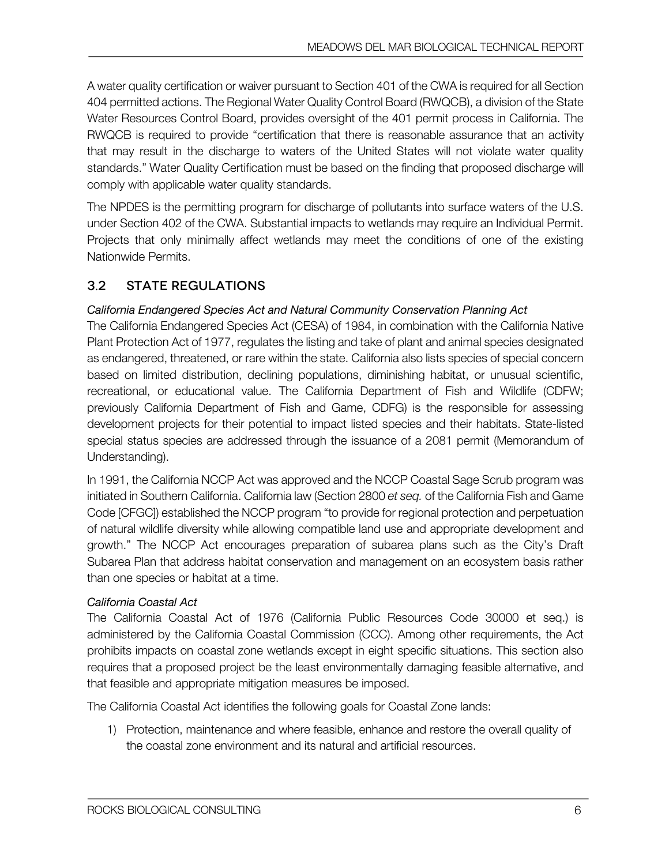A water quality certification or waiver pursuant to Section 401 of the CWA is required for all Section 404 permitted actions. The Regional Water Quality Control Board (RWQCB), a division of the State Water Resources Control Board, provides oversight of the 401 permit process in California. The RWQCB is required to provide "certification that there is reasonable assurance that an activity that may result in the discharge to waters of the United States will not violate water quality standards." Water Quality Certification must be based on the finding that proposed discharge will comply with applicable water quality standards.

The NPDES is the permitting program for discharge of pollutants into surface waters of the U.S. under Section 402 of the CWA. Substantial impacts to wetlands may require an Individual Permit. Projects that only minimally affect wetlands may meet the conditions of one of the existing Nationwide Permits.

### 3.2 STATE REGULATIONS

### *California Endangered Species Act and Natural Community Conservation Planning Act*

The California Endangered Species Act (CESA) of 1984, in combination with the California Native Plant Protection Act of 1977, regulates the listing and take of plant and animal species designated as endangered, threatened, or rare within the state. California also lists species of special concern based on limited distribution, declining populations, diminishing habitat, or unusual scientific, recreational, or educational value. The California Department of Fish and Wildlife (CDFW; previously California Department of Fish and Game, CDFG) is the responsible for assessing development projects for their potential to impact listed species and their habitats. State-listed special status species are addressed through the issuance of a 2081 permit (Memorandum of Understanding).

In 1991, the California NCCP Act was approved and the NCCP Coastal Sage Scrub program was initiated in Southern California. California law (Section 2800 *et seq.* of the California Fish and Game Code [CFGC]) established the NCCP program "to provide for regional protection and perpetuation of natural wildlife diversity while allowing compatible land use and appropriate development and growth." The NCCP Act encourages preparation of subarea plans such as the City's Draft Subarea Plan that address habitat conservation and management on an ecosystem basis rather than one species or habitat at a time.

### *California Coastal Act*

The California Coastal Act of 1976 (California Public Resources Code 30000 et seq.) is administered by the California Coastal Commission (CCC). Among other requirements, the Act prohibits impacts on coastal zone wetlands except in eight specific situations. This section also requires that a proposed project be the least environmentally damaging feasible alternative, and that feasible and appropriate mitigation measures be imposed.

The California Coastal Act identifies the following goals for Coastal Zone lands:

1) Protection, maintenance and where feasible, enhance and restore the overall quality of the coastal zone environment and its natural and artificial resources.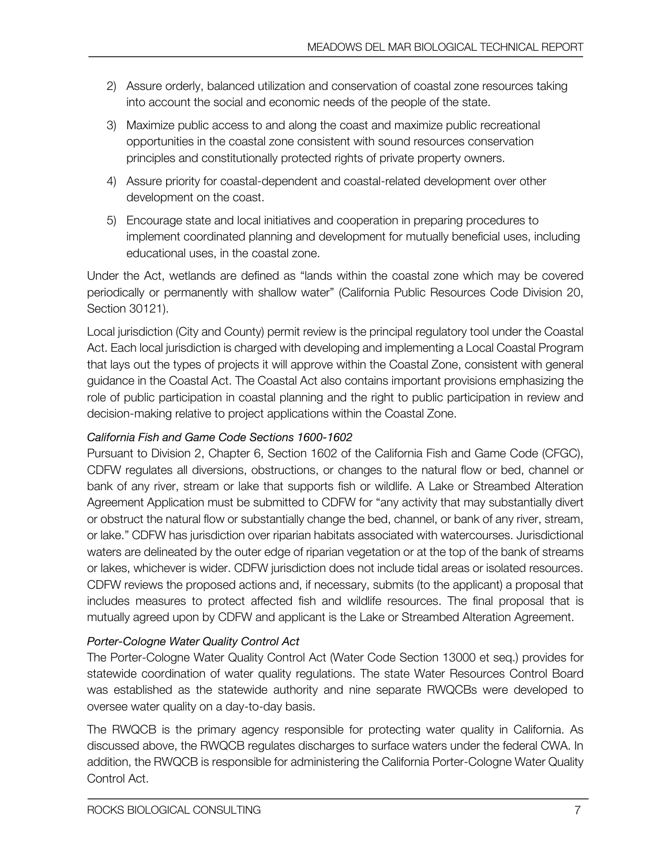- 2) Assure orderly, balanced utilization and conservation of coastal zone resources taking into account the social and economic needs of the people of the state.
- 3) Maximize public access to and along the coast and maximize public recreational opportunities in the coastal zone consistent with sound resources conservation principles and constitutionally protected rights of private property owners.
- 4) Assure priority for coastal-dependent and coastal-related development over other development on the coast.
- 5) Encourage state and local initiatives and cooperation in preparing procedures to implement coordinated planning and development for mutually beneficial uses, including educational uses, in the coastal zone.

Under the Act, wetlands are defined as "lands within the coastal zone which may be covered periodically or permanently with shallow water" (California Public Resources Code Division 20, Section 30121).

Local jurisdiction (City and County) permit review is the principal regulatory tool under the Coastal Act. Each local jurisdiction is charged with developing and implementing a Local Coastal Program that lays out the types of projects it will approve within the Coastal Zone, consistent with general guidance in the Coastal Act. The Coastal Act also contains important provisions emphasizing the role of public participation in coastal planning and the right to public participation in review and decision-making relative to project applications within the Coastal Zone.

### *California Fish and Game Code Sections 1600-1602*

Pursuant to Division 2, Chapter 6, Section 1602 of the California Fish and Game Code (CFGC), CDFW regulates all diversions, obstructions, or changes to the natural flow or bed, channel or bank of any river, stream or lake that supports fish or wildlife. A Lake or Streambed Alteration Agreement Application must be submitted to CDFW for "any activity that may substantially divert or obstruct the natural flow or substantially change the bed, channel, or bank of any river, stream, or lake." CDFW has jurisdiction over riparian habitats associated with watercourses. Jurisdictional waters are delineated by the outer edge of riparian vegetation or at the top of the bank of streams or lakes, whichever is wider. CDFW jurisdiction does not include tidal areas or isolated resources. CDFW reviews the proposed actions and, if necessary, submits (to the applicant) a proposal that includes measures to protect affected fish and wildlife resources. The final proposal that is mutually agreed upon by CDFW and applicant is the Lake or Streambed Alteration Agreement.

### *Porter-Cologne Water Quality Control Act*

The Porter-Cologne Water Quality Control Act (Water Code Section 13000 et seq.) provides for statewide coordination of water quality regulations. The state Water Resources Control Board was established as the statewide authority and nine separate RWQCBs were developed to oversee water quality on a day-to-day basis.

The RWQCB is the primary agency responsible for protecting water quality in California. As discussed above, the RWQCB regulates discharges to surface waters under the federal CWA. In addition, the RWQCB is responsible for administering the California Porter-Cologne Water Quality Control Act.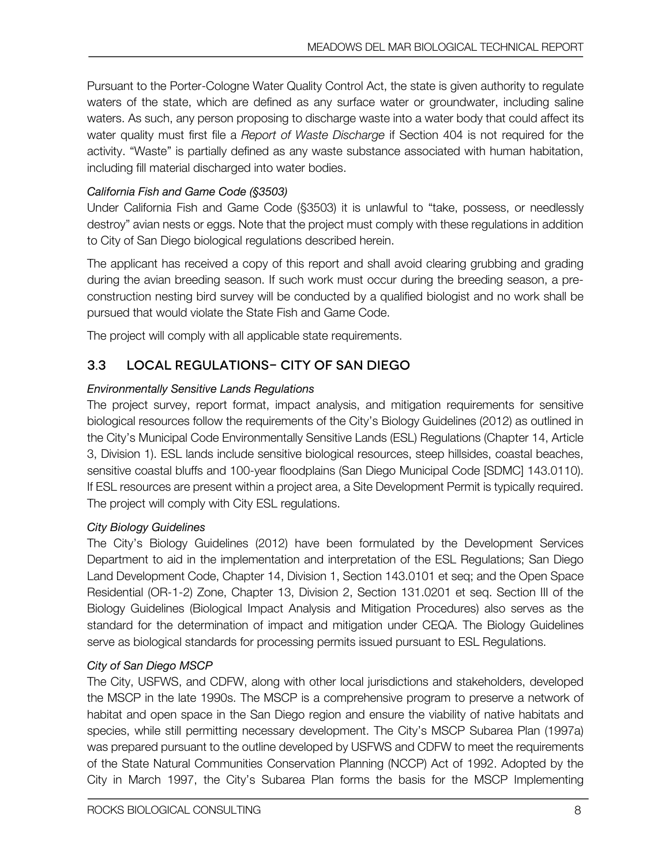Pursuant to the Porter-Cologne Water Quality Control Act, the state is given authority to regulate waters of the state, which are defined as any surface water or groundwater, including saline waters. As such, any person proposing to discharge waste into a water body that could affect its water quality must first file a *Report of Waste Discharge* if Section 404 is not required for the activity. "Waste" is partially defined as any waste substance associated with human habitation, including fill material discharged into water bodies.

### *California Fish and Game Code (§3503)*

Under California Fish and Game Code (§3503) it is unlawful to "take, possess, or needlessly destroy" avian nests or eggs. Note that the project must comply with these regulations in addition to City of San Diego biological regulations described herein.

The applicant has received a copy of this report and shall avoid clearing grubbing and grading during the avian breeding season. If such work must occur during the breeding season, a preconstruction nesting bird survey will be conducted by a qualified biologist and no work shall be pursued that would violate the State Fish and Game Code.

The project will comply with all applicable state requirements.

### 3.3 LOCAL REGULATIONS- CITY OF SAN DIEGO

### *Environmentally Sensitive Lands Regulations*

The project survey, report format, impact analysis, and mitigation requirements for sensitive biological resources follow the requirements of the City's Biology Guidelines (2012) as outlined in the City's Municipal Code Environmentally Sensitive Lands (ESL) Regulations (Chapter 14, Article 3, Division 1). ESL lands include sensitive biological resources, steep hillsides, coastal beaches, sensitive coastal bluffs and 100-year floodplains (San Diego Municipal Code [SDMC] 143.0110). If ESL resources are present within a project area, a Site Development Permit is typically required. The project will comply with City ESL regulations.

### *City Biology Guidelines*

The City's Biology Guidelines (2012) have been formulated by the Development Services Department to aid in the implementation and interpretation of the ESL Regulations; San Diego Land Development Code, Chapter 14, Division 1, Section 143.0101 et seq; and the Open Space Residential (OR-1-2) Zone, Chapter 13, Division 2, Section 131.0201 et seq. Section III of the Biology Guidelines (Biological Impact Analysis and Mitigation Procedures) also serves as the standard for the determination of impact and mitigation under CEQA. The Biology Guidelines serve as biological standards for processing permits issued pursuant to ESL Regulations.

### *City of San Diego MSCP*

The City, USFWS, and CDFW, along with other local jurisdictions and stakeholders, developed the MSCP in the late 1990s. The MSCP is a comprehensive program to preserve a network of habitat and open space in the San Diego region and ensure the viability of native habitats and species, while still permitting necessary development. The City's MSCP Subarea Plan (1997a) was prepared pursuant to the outline developed by USFWS and CDFW to meet the requirements of the State Natural Communities Conservation Planning (NCCP) Act of 1992. Adopted by the City in March 1997, the City's Subarea Plan forms the basis for the MSCP Implementing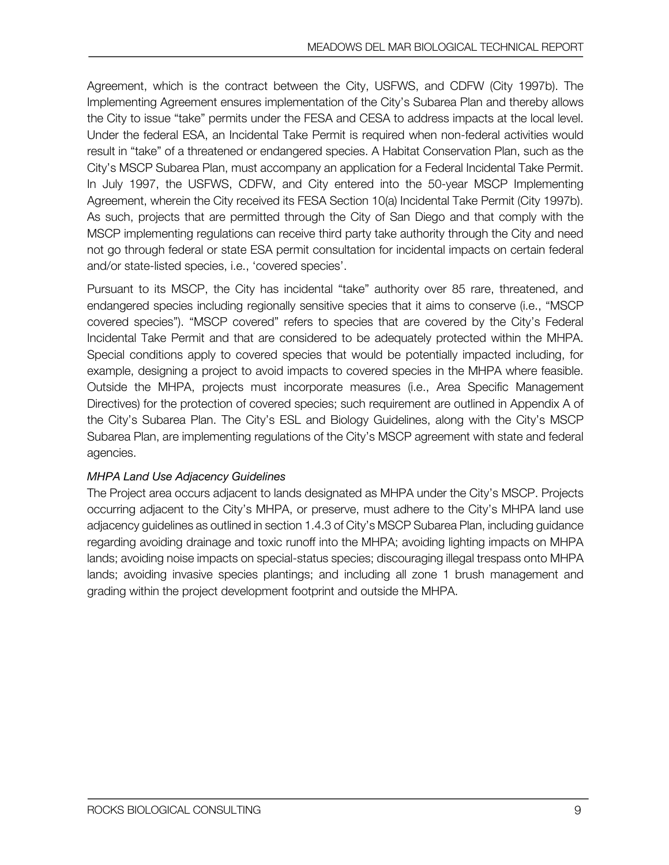Agreement, which is the contract between the City, USFWS, and CDFW (City 1997b). The Implementing Agreement ensures implementation of the City's Subarea Plan and thereby allows the City to issue "take" permits under the FESA and CESA to address impacts at the local level. Under the federal ESA, an Incidental Take Permit is required when non-federal activities would result in "take" of a threatened or endangered species. A Habitat Conservation Plan, such as the City's MSCP Subarea Plan, must accompany an application for a Federal Incidental Take Permit. In July 1997, the USFWS, CDFW, and City entered into the 50-year MSCP Implementing Agreement, wherein the City received its FESA Section 10(a) Incidental Take Permit (City 1997b). As such, projects that are permitted through the City of San Diego and that comply with the MSCP implementing regulations can receive third party take authority through the City and need not go through federal or state ESA permit consultation for incidental impacts on certain federal and/or state-listed species, i.e., 'covered species'.

Pursuant to its MSCP, the City has incidental "take" authority over 85 rare, threatened, and endangered species including regionally sensitive species that it aims to conserve (i.e., "MSCP covered species"). "MSCP covered" refers to species that are covered by the City's Federal Incidental Take Permit and that are considered to be adequately protected within the MHPA. Special conditions apply to covered species that would be potentially impacted including, for example, designing a project to avoid impacts to covered species in the MHPA where feasible. Outside the MHPA, projects must incorporate measures (i.e., Area Specific Management Directives) for the protection of covered species; such requirement are outlined in Appendix A of the City's Subarea Plan. The City's ESL and Biology Guidelines, along with the City's MSCP Subarea Plan, are implementing regulations of the City's MSCP agreement with state and federal agencies.

### *MHPA Land Use Adjacency Guidelines*

The Project area occurs adjacent to lands designated as MHPA under the City's MSCP. Projects occurring adjacent to the City's MHPA, or preserve, must adhere to the City's MHPA land use adjacency guidelines as outlined in section 1.4.3 of City's MSCP Subarea Plan, including guidance regarding avoiding drainage and toxic runoff into the MHPA; avoiding lighting impacts on MHPA lands; avoiding noise impacts on special-status species; discouraging illegal trespass onto MHPA lands; avoiding invasive species plantings; and including all zone 1 brush management and grading within the project development footprint and outside the MHPA.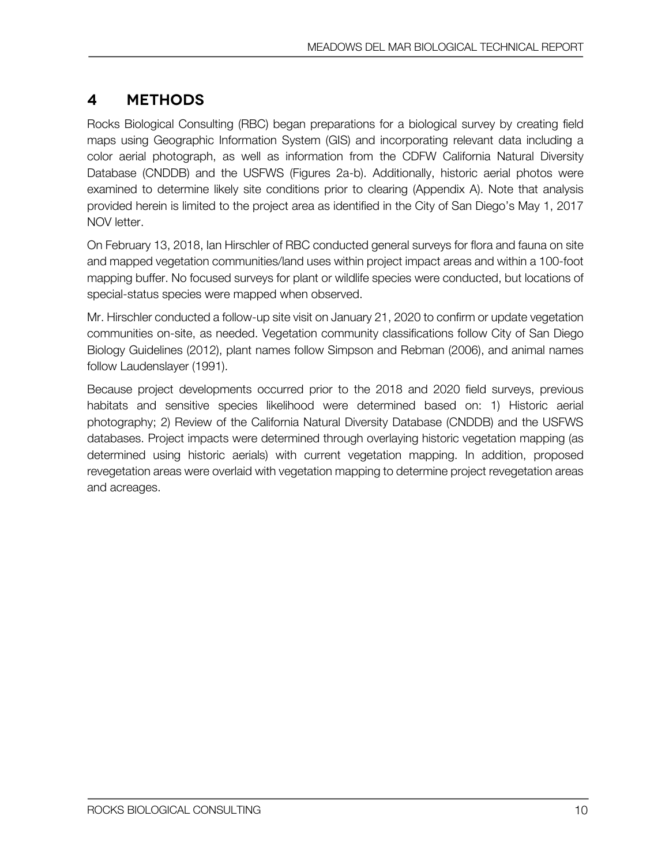# **4 Methods**

Rocks Biological Consulting (RBC) began preparations for a biological survey by creating field maps using Geographic Information System (GIS) and incorporating relevant data including a color aerial photograph, as well as information from the CDFW California Natural Diversity Database (CNDDB) and the USFWS (Figures 2a-b). Additionally, historic aerial photos were examined to determine likely site conditions prior to clearing (Appendix A). Note that analysis provided herein is limited to the project area as identified in the City of San Diego's May 1, 2017 NOV letter.

On February 13, 2018, Ian Hirschler of RBC conducted general surveys for flora and fauna on site and mapped vegetation communities/land uses within project impact areas and within a 100-foot mapping buffer. No focused surveys for plant or wildlife species were conducted, but locations of special-status species were mapped when observed.

Mr. Hirschler conducted a follow-up site visit on January 21, 2020 to confirm or update vegetation communities on-site, as needed. Vegetation community classifications follow City of San Diego Biology Guidelines (2012), plant names follow Simpson and Rebman (2006), and animal names follow Laudenslayer (1991).

Because project developments occurred prior to the 2018 and 2020 field surveys, previous habitats and sensitive species likelihood were determined based on: 1) Historic aerial photography; 2) Review of the California Natural Diversity Database (CNDDB) and the USFWS databases. Project impacts were determined through overlaying historic vegetation mapping (as determined using historic aerials) with current vegetation mapping. In addition, proposed revegetation areas were overlaid with vegetation mapping to determine project revegetation areas and acreages.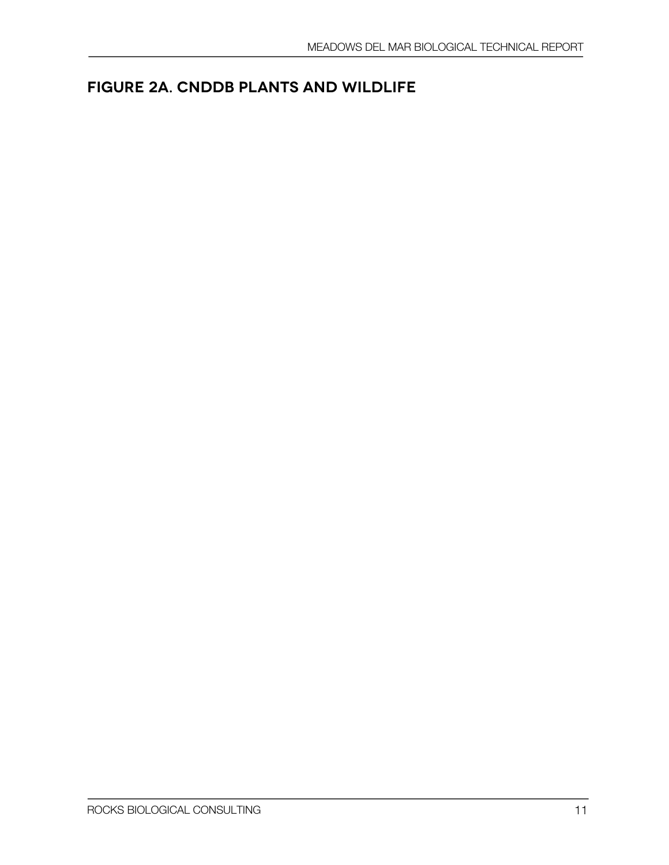# **Figure 2a. CNDDB Plants and Wildlife**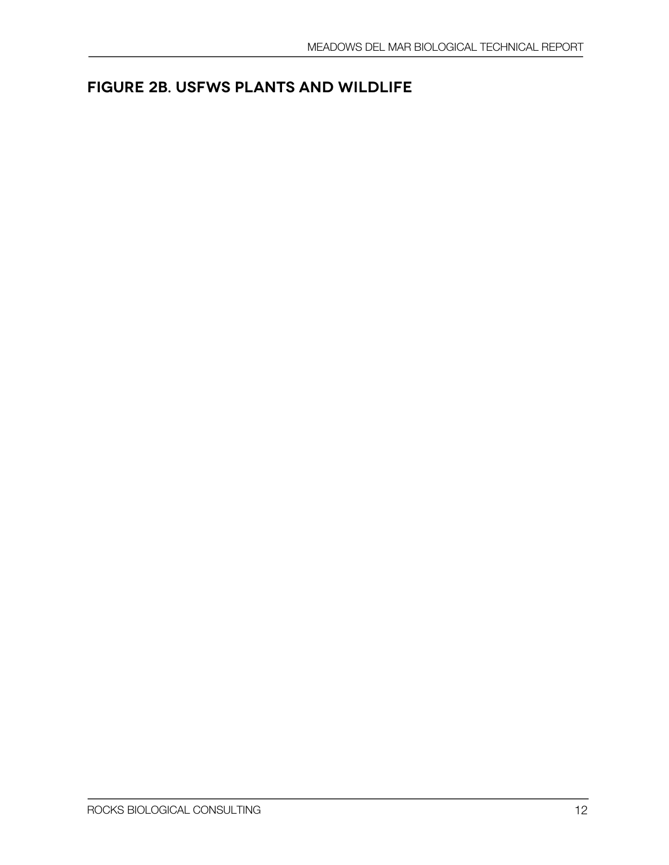# **Figure 2B. USFWS Plants and Wildlife**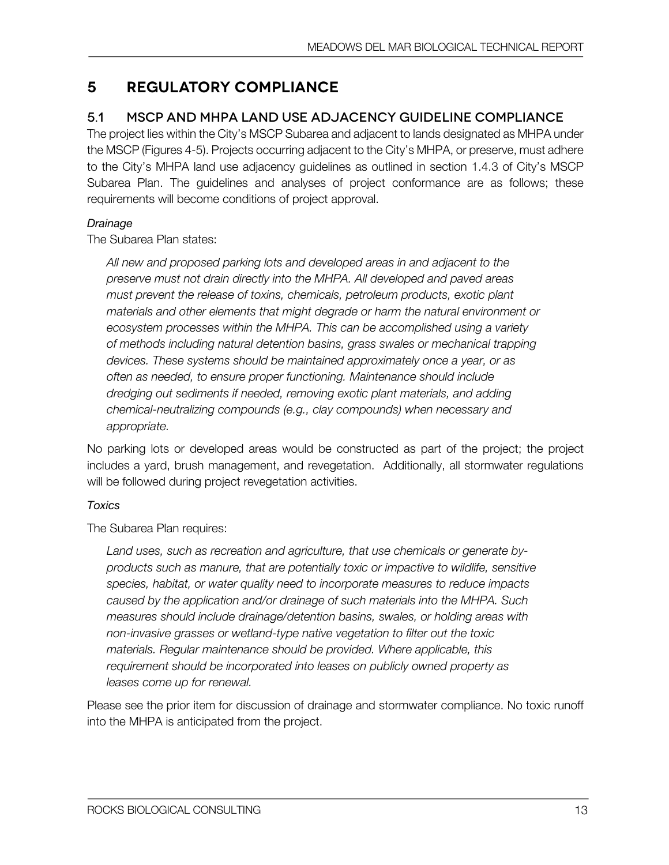## **5 Regulatory Compliance**

### 5.1 MSCP AND MHPA LAND USE ADJACENCY GUIDELINE COMPLIANCE

The project lies within the City's MSCP Subarea and adjacent to lands designated as MHPA under the MSCP (Figures 4-5). Projects occurring adjacent to the City's MHPA, or preserve, must adhere to the City's MHPA land use adjacency guidelines as outlined in section 1.4.3 of City's MSCP Subarea Plan. The guidelines and analyses of project conformance are as follows; these requirements will become conditions of project approval.

### *Drainage*

The Subarea Plan states:

*All new and proposed parking lots and developed areas in and adjacent to the preserve must not drain directly into the MHPA. All developed and paved areas must prevent the release of toxins, chemicals, petroleum products, exotic plant materials and other elements that might degrade or harm the natural environment or ecosystem processes within the MHPA. This can be accomplished using a variety of methods including natural detention basins, grass swales or mechanical trapping devices. These systems should be maintained approximately once a year, or as often as needed, to ensure proper functioning. Maintenance should include dredging out sediments if needed, removing exotic plant materials, and adding chemical-neutralizing compounds (e.g., clay compounds) when necessary and appropriate.*

No parking lots or developed areas would be constructed as part of the project; the project includes a yard, brush management, and revegetation. Additionally, all stormwater regulations will be followed during project revegetation activities.

### *Toxics*

The Subarea Plan requires:

*Land uses, such as recreation and agriculture, that use chemicals or generate byproducts such as manure, that are potentially toxic or impactive to wildlife, sensitive species, habitat, or water quality need to incorporate measures to reduce impacts caused by the application and/or drainage of such materials into the MHPA. Such measures should include drainage/detention basins, swales, or holding areas with non-invasive grasses or wetland-type native vegetation to filter out the toxic materials. Regular maintenance should be provided. Where applicable, this requirement should be incorporated into leases on publicly owned property as leases come up for renewal.*

Please see the prior item for discussion of drainage and stormwater compliance. No toxic runoff into the MHPA is anticipated from the project.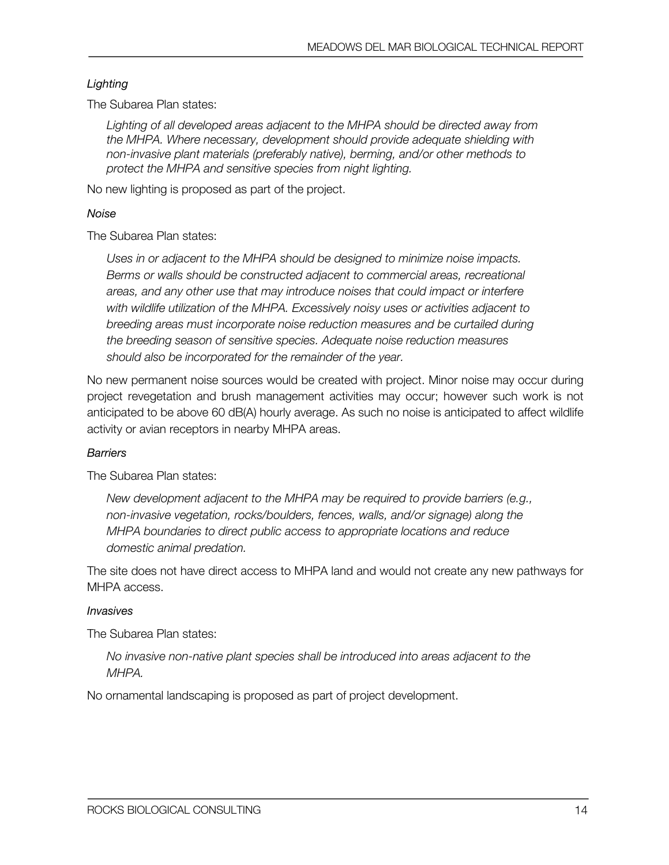#### *Lighting*

The Subarea Plan states:

*Lighting of all developed areas adjacent to the MHPA should be directed away from the MHPA. Where necessary, development should provide adequate shielding with non-invasive plant materials (preferably native), berming, and/or other methods to protect the MHPA and sensitive species from night lighting.*

No new lighting is proposed as part of the project.

#### *Noise*

The Subarea Plan states:

*Uses in or adjacent to the MHPA should be designed to minimize noise impacts. Berms or walls should be constructed adjacent to commercial areas, recreational areas, and any other use that may introduce noises that could impact or interfere with wildlife utilization of the MHPA. Excessively noisy uses or activities adjacent to breeding areas must incorporate noise reduction measures and be curtailed during the breeding season of sensitive species. Adequate noise reduction measures should also be incorporated for the remainder of the year.*

No new permanent noise sources would be created with project. Minor noise may occur during project revegetation and brush management activities may occur; however such work is not anticipated to be above 60 dB(A) hourly average. As such no noise is anticipated to affect wildlife activity or avian receptors in nearby MHPA areas.

#### *Barriers*

The Subarea Plan states:

*New development adjacent to the MHPA may be required to provide barriers (e.g., non-invasive vegetation, rocks/boulders, fences, walls, and/or signage) along the MHPA boundaries to direct public access to appropriate locations and reduce domestic animal predation.*

The site does not have direct access to MHPA land and would not create any new pathways for MHPA access.

#### *Invasives*

The Subarea Plan states:

*No invasive non-native plant species shall be introduced into areas adjacent to the MHPA.*

No ornamental landscaping is proposed as part of project development.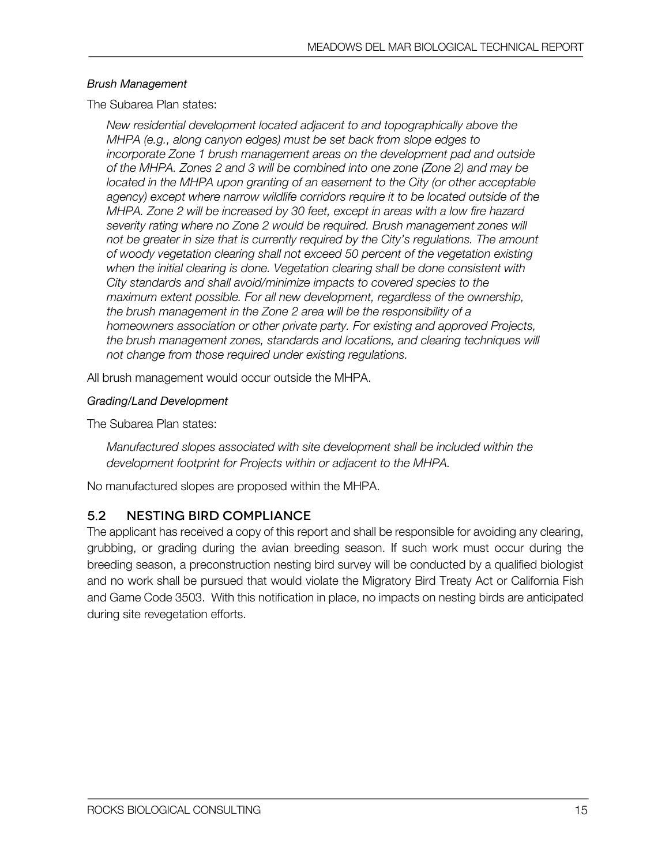#### *Brush Management*

The Subarea Plan states:

*New residential development located adjacent to and topographically above the MHPA (e.g., along canyon edges) must be set back from slope edges to incorporate Zone 1 brush management areas on the development pad and outside of the MHPA. Zones 2 and 3 will be combined into one zone (Zone 2) and may be located in the MHPA upon granting of an easement to the City (or other acceptable agency) except where narrow wildlife corridors require it to be located outside of the MHPA. Zone 2 will be increased by 30 feet, except in areas with a low fire hazard severity rating where no Zone 2 would be required. Brush management zones will not be greater in size that is currently required by the City's regulations. The amount of woody vegetation clearing shall not exceed 50 percent of the vegetation existing when the initial clearing is done. Vegetation clearing shall be done consistent with City standards and shall avoid/minimize impacts to covered species to the maximum extent possible. For all new development, regardless of the ownership, the brush management in the Zone 2 area will be the responsibility of a homeowners association or other private party. For existing and approved Projects, the brush management zones, standards and locations, and clearing techniques will not change from those required under existing regulations.*

All brush management would occur outside the MHPA.

#### *Grading/Land Development*

The Subarea Plan states:

*Manufactured slopes associated with site development shall be included within the development footprint for Projects within or adjacent to the MHPA.*

No manufactured slopes are proposed within the MHPA.

### 5.2 NESTING BIRD COMPLIANCE

The applicant has received a copy of this report and shall be responsible for avoiding any clearing, grubbing, or grading during the avian breeding season. If such work must occur during the breeding season, a preconstruction nesting bird survey will be conducted by a qualified biologist and no work shall be pursued that would violate the Migratory Bird Treaty Act or California Fish and Game Code 3503. With this notification in place, no impacts on nesting birds are anticipated during site revegetation efforts.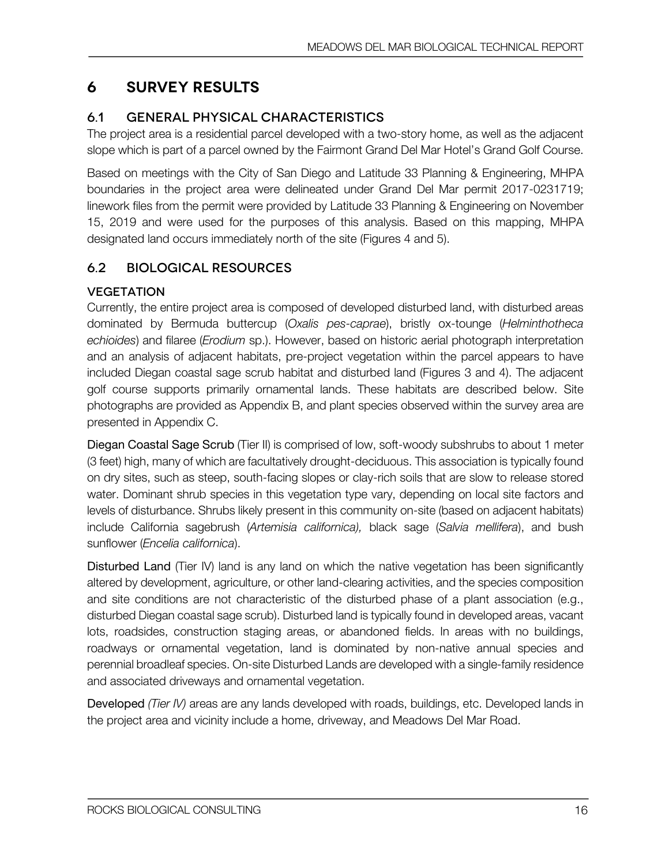# **6 Survey Results**

## 6.1 GENERAL PHYSICAL CHARACTERISTICS

The project area is a residential parcel developed with a two-story home, as well as the adjacent slope which is part of a parcel owned by the Fairmont Grand Del Mar Hotel's Grand Golf Course.

Based on meetings with the City of San Diego and Latitude 33 Planning & Engineering, MHPA boundaries in the project area were delineated under Grand Del Mar permit 2017-0231719; linework files from the permit were provided by Latitude 33 Planning & Engineering on November 15, 2019 and were used for the purposes of this analysis. Based on this mapping, MHPA designated land occurs immediately north of the site (Figures 4 and 5).

## 6.2 BIOLOGICAL RESOURCES

### **VEGETATION**

Currently, the entire project area is composed of developed disturbed land, with disturbed areas dominated by Bermuda buttercup (*Oxalis pes-caprae*), bristly ox-tounge (*Helminthotheca echioides*) and filaree (*Erodium* sp.). However, based on historic aerial photograph interpretation and an analysis of adjacent habitats, pre-project vegetation within the parcel appears to have included Diegan coastal sage scrub habitat and disturbed land (Figures 3 and 4). The adjacent golf course supports primarily ornamental lands. These habitats are described below. Site photographs are provided as Appendix B, and plant species observed within the survey area are presented in Appendix C.

Diegan Coastal Sage Scrub (Tier II) is comprised of low, soft-woody subshrubs to about 1 meter (3 feet) high, many of which are facultatively drought-deciduous. This association is typically found on dry sites, such as steep, south-facing slopes or clay-rich soils that are slow to release stored water. Dominant shrub species in this vegetation type vary, depending on local site factors and levels of disturbance. Shrubs likely present in this community on-site (based on adjacent habitats) include California sagebrush (*Artemisia californica),* black sage (*Salvia mellifera*), and bush sunflower (*Encelia californica*).

Disturbed Land (Tier IV) land is any land on which the native vegetation has been significantly altered by development, agriculture, or other land-clearing activities, and the species composition and site conditions are not characteristic of the disturbed phase of a plant association (e.g., disturbed Diegan coastal sage scrub). Disturbed land is typically found in developed areas, vacant lots, roadsides, construction staging areas, or abandoned fields. In areas with no buildings, roadways or ornamental vegetation, land is dominated by non-native annual species and perennial broadleaf species. On-site Disturbed Lands are developed with a single-family residence and associated driveways and ornamental vegetation.

Developed *(Tier IV)* areas are any lands developed with roads, buildings, etc. Developed lands in the project area and vicinity include a home, driveway, and Meadows Del Mar Road.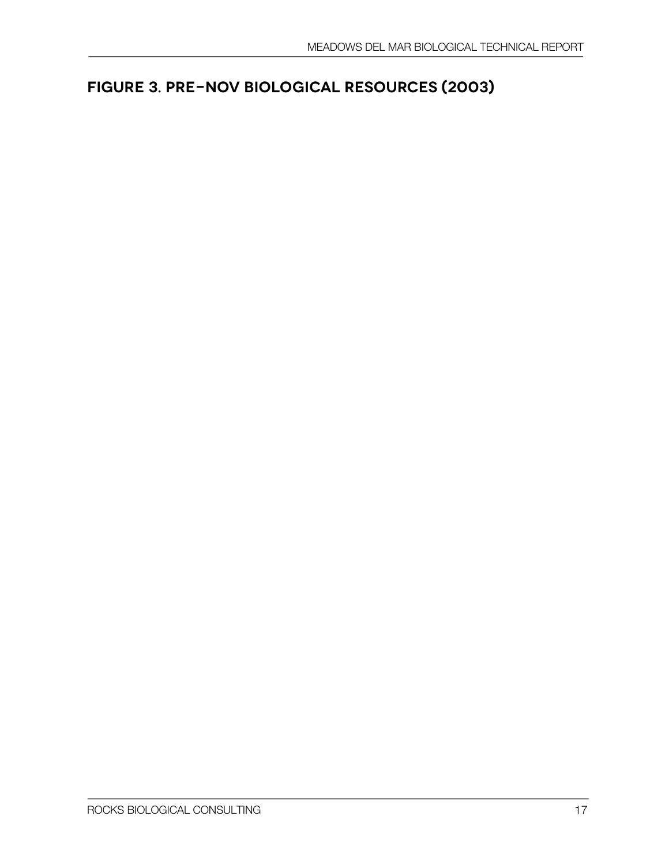# **Figure 3. Pre-NOV Biological Resources (2003)**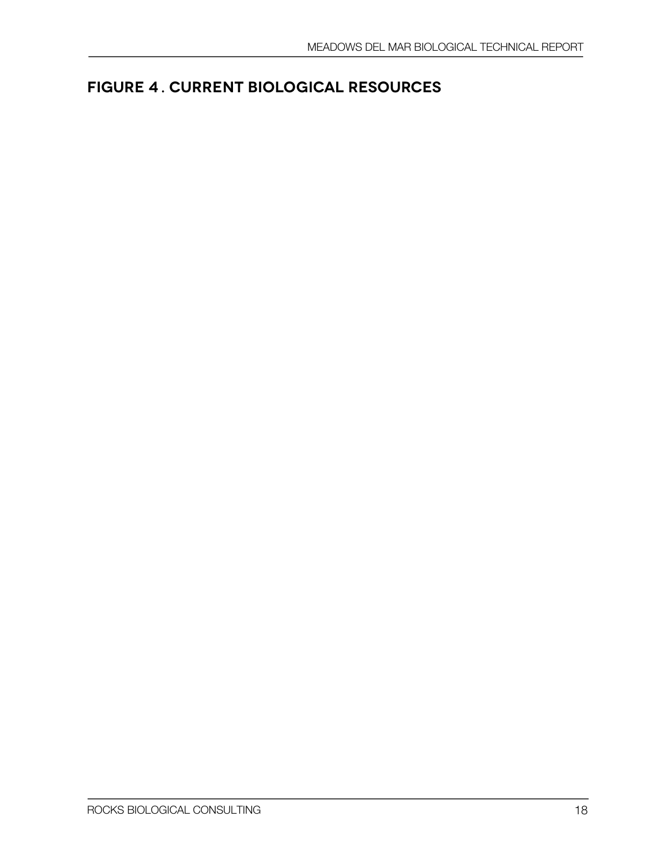# **Figure 41. Current Biological Resources**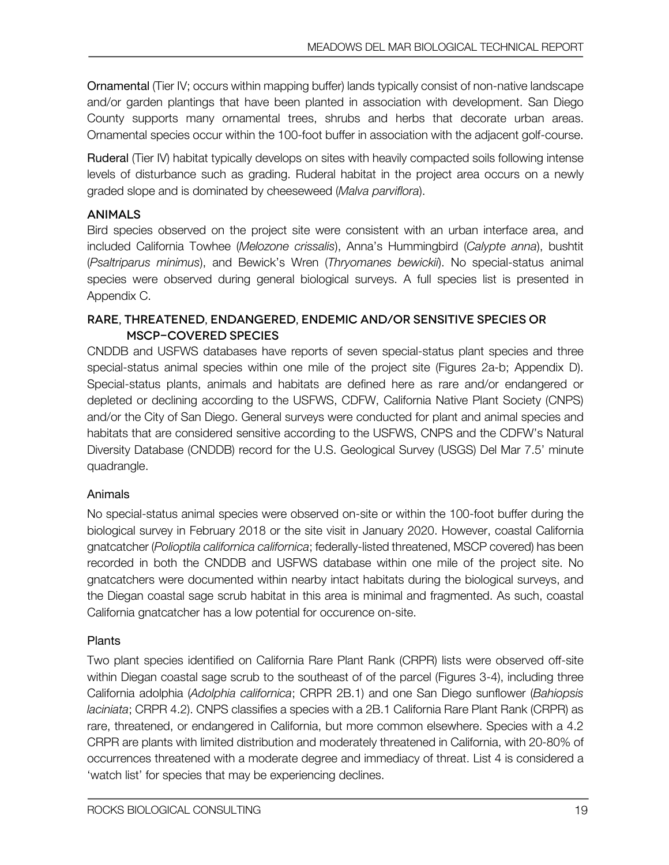Ornamental (Tier IV; occurs within mapping buffer) lands typically consist of non-native landscape and/or garden plantings that have been planted in association with development. San Diego County supports many ornamental trees, shrubs and herbs that decorate urban areas. Ornamental species occur within the 100-foot buffer in association with the adjacent golf-course.

Ruderal (Tier IV) habitat typically develops on sites with heavily compacted soils following intense levels of disturbance such as grading. Ruderal habitat in the project area occurs on a newly graded slope and is dominated by cheeseweed (*Malva parviflora*).

### **ANIMALS**

Bird species observed on the project site were consistent with an urban interface area, and included California Towhee (*Melozone crissalis*), Anna's Hummingbird (*Calypte anna*), bushtit (*Psaltriparus minimus*), and Bewick's Wren (*Thryomanes bewickii*). No special-status animal species were observed during general biological surveys. A full species list is presented in Appendix C.

### Rare, Threatened, Endangered, Endemic and/or Sensitive Species or MSCP-Covered Species

CNDDB and USFWS databases have reports of seven special-status plant species and three special-status animal species within one mile of the project site (Figures 2a-b; Appendix D). Special-status plants, animals and habitats are defined here as rare and/or endangered or depleted or declining according to the USFWS, CDFW, California Native Plant Society (CNPS) and/or the City of San Diego. General surveys were conducted for plant and animal species and habitats that are considered sensitive according to the USFWS, CNPS and the CDFW's Natural Diversity Database (CNDDB) record for the U.S. Geological Survey (USGS) Del Mar 7.5' minute quadrangle.

### Animals

No special-status animal species were observed on-site or within the 100-foot buffer during the biological survey in February 2018 or the site visit in January 2020. However, coastal California gnatcatcher (*Polioptila californica californica*; federally-listed threatened, MSCP covered) has been recorded in both the CNDDB and USFWS database within one mile of the project site. No gnatcatchers were documented within nearby intact habitats during the biological surveys, and the Diegan coastal sage scrub habitat in this area is minimal and fragmented. As such, coastal California gnatcatcher has a low potential for occurence on-site.

### Plants

Two plant species identified on California Rare Plant Rank (CRPR) lists were observed off-site within Diegan coastal sage scrub to the southeast of of the parcel (Figures 3-4), including three California adolphia (*Adolphia californica*; CRPR 2B.1) and one San Diego sunflower (*Bahiopsis laciniata*; CRPR 4.2). CNPS classifies a species with a 2B.1 California Rare Plant Rank (CRPR) as rare, threatened, or endangered in California, but more common elsewhere. Species with a 4.2 CRPR are plants with limited distribution and moderately threatened in California, with 20-80% of occurrences threatened with a moderate degree and immediacy of threat. List 4 is considered a 'watch list' for species that may be experiencing declines.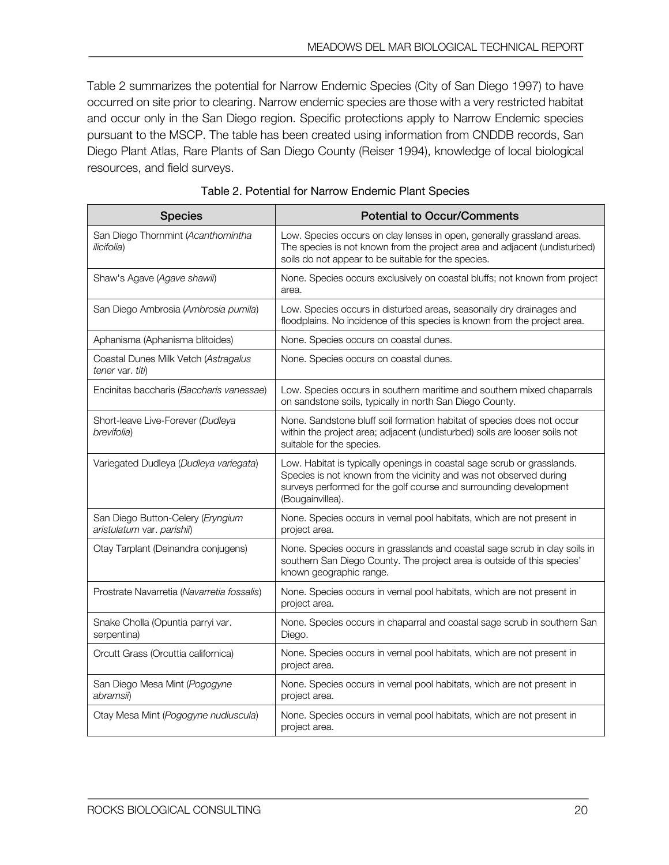Table 2 summarizes the potential for Narrow Endemic Species (City of San Diego 1997) to have occurred on site prior to clearing. Narrow endemic species are those with a very restricted habitat and occur only in the San Diego region. Specific protections apply to Narrow Endemic species pursuant to the MSCP. The table has been created using information from CNDDB records, San Diego Plant Atlas, Rare Plants of San Diego County (Reiser 1994), knowledge of local biological resources, and field surveys.

| <b>Species</b>                                                  | <b>Potential to Occur/Comments</b>                                                                                                                                                                                                     |
|-----------------------------------------------------------------|----------------------------------------------------------------------------------------------------------------------------------------------------------------------------------------------------------------------------------------|
| San Diego Thornmint (Acanthomintha<br><i>ilicifolia</i> )       | Low. Species occurs on clay lenses in open, generally grassland areas.<br>The species is not known from the project area and adjacent (undisturbed)<br>soils do not appear to be suitable for the species.                             |
| Shaw's Agave (Agave shawii)                                     | None. Species occurs exclusively on coastal bluffs; not known from project<br>area.                                                                                                                                                    |
| San Diego Ambrosia (Ambrosia pumila)                            | Low. Species occurs in disturbed areas, seasonally dry drainages and<br>floodplains. No incidence of this species is known from the project area.                                                                                      |
| Aphanisma (Aphanisma blitoides)                                 | None. Species occurs on coastal dunes.                                                                                                                                                                                                 |
| Coastal Dunes Milk Vetch (Astragalus<br>tener var. titi)        | None. Species occurs on coastal dunes.                                                                                                                                                                                                 |
| Encinitas baccharis (Baccharis vanessae)                        | Low. Species occurs in southern maritime and southern mixed chaparrals<br>on sandstone soils, typically in north San Diego County.                                                                                                     |
| Short-leave Live-Forever (Dudleya<br>brevifolia)                | None. Sandstone bluff soil formation habitat of species does not occur<br>within the project area; adjacent (undisturbed) soils are looser soils not<br>suitable for the species.                                                      |
| Variegated Dudleya (Dudleya variegata)                          | Low. Habitat is typically openings in coastal sage scrub or grasslands.<br>Species is not known from the vicinity and was not observed during<br>surveys performed for the golf course and surrounding development<br>(Bougainvillea). |
| San Diego Button-Celery (Eryngium<br>aristulatum var. parishii) | None. Species occurs in vernal pool habitats, which are not present in<br>project area.                                                                                                                                                |
| Otay Tarplant (Deinandra conjugens)                             | None. Species occurs in grasslands and coastal sage scrub in clay soils in<br>southern San Diego County. The project area is outside of this species'<br>known geographic range.                                                       |
| Prostrate Navarretia (Navarretia fossalis)                      | None. Species occurs in vernal pool habitats, which are not present in<br>project area.                                                                                                                                                |
| Snake Cholla (Opuntia parryi var.<br>serpentina)                | None. Species occurs in chaparral and coastal sage scrub in southern San<br>Diego.                                                                                                                                                     |
| Orcutt Grass (Orcuttia californica)                             | None. Species occurs in vernal pool habitats, which are not present in<br>project area.                                                                                                                                                |
| San Diego Mesa Mint (Pogogyne<br><i>abramsii</i> )              | None. Species occurs in vernal pool habitats, which are not present in<br>project area.                                                                                                                                                |
| Otay Mesa Mint (Pogogyne nudiuscula)                            | None. Species occurs in vernal pool habitats, which are not present in<br>project area.                                                                                                                                                |

| Table 2. Potential for Narrow Endemic Plant Species |  |  |  |
|-----------------------------------------------------|--|--|--|
|-----------------------------------------------------|--|--|--|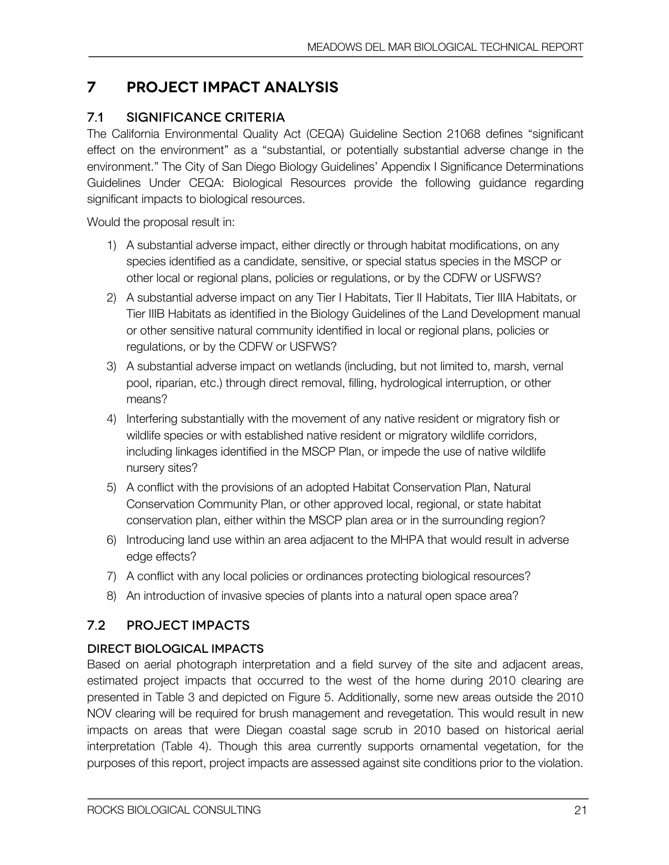# **7 Project Impact Analysis**

## 7.1 SIGNIFICANCE CRITERIA

The California Environmental Quality Act (CEQA) Guideline Section 21068 defines "significant effect on the environment" as a "substantial, or potentially substantial adverse change in the environment." The City of San Diego Biology Guidelines' Appendix I Significance Determinations Guidelines Under CEQA: Biological Resources provide the following guidance regarding significant impacts to biological resources.

Would the proposal result in:

- 1) A substantial adverse impact, either directly or through habitat modifications, on any species identified as a candidate, sensitive, or special status species in the MSCP or other local or regional plans, policies or regulations, or by the CDFW or USFWS?
- 2) A substantial adverse impact on any Tier I Habitats, Tier II Habitats, Tier IIIA Habitats, or Tier IIIB Habitats as identified in the Biology Guidelines of the Land Development manual or other sensitive natural community identified in local or regional plans, policies or regulations, or by the CDFW or USFWS?
- 3) A substantial adverse impact on wetlands (including, but not limited to, marsh, vernal pool, riparian, etc.) through direct removal, filling, hydrological interruption, or other means?
- 4) Interfering substantially with the movement of any native resident or migratory fish or wildlife species or with established native resident or migratory wildlife corridors, including linkages identified in the MSCP Plan, or impede the use of native wildlife nursery sites?
- 5) A conflict with the provisions of an adopted Habitat Conservation Plan, Natural Conservation Community Plan, or other approved local, regional, or state habitat conservation plan, either within the MSCP plan area or in the surrounding region?
- 6) Introducing land use within an area adjacent to the MHPA that would result in adverse edge effects?
- 7) A conflict with any local policies or ordinances protecting biological resources?
- 8) An introduction of invasive species of plants into a natural open space area?

## 7.2 PROJECT IMPACTS

### Direct Biological Impacts

Based on aerial photograph interpretation and a field survey of the site and adjacent areas, estimated project impacts that occurred to the west of the home during 2010 clearing are presented in Table 3 and depicted on Figure 5. Additionally, some new areas outside the 2010 NOV clearing will be required for brush management and revegetation. This would result in new impacts on areas that were Diegan coastal sage scrub in 2010 based on historical aerial interpretation (Table 4). Though this area currently supports ornamental vegetation, for the purposes of this report, project impacts are assessed against site conditions prior to the violation.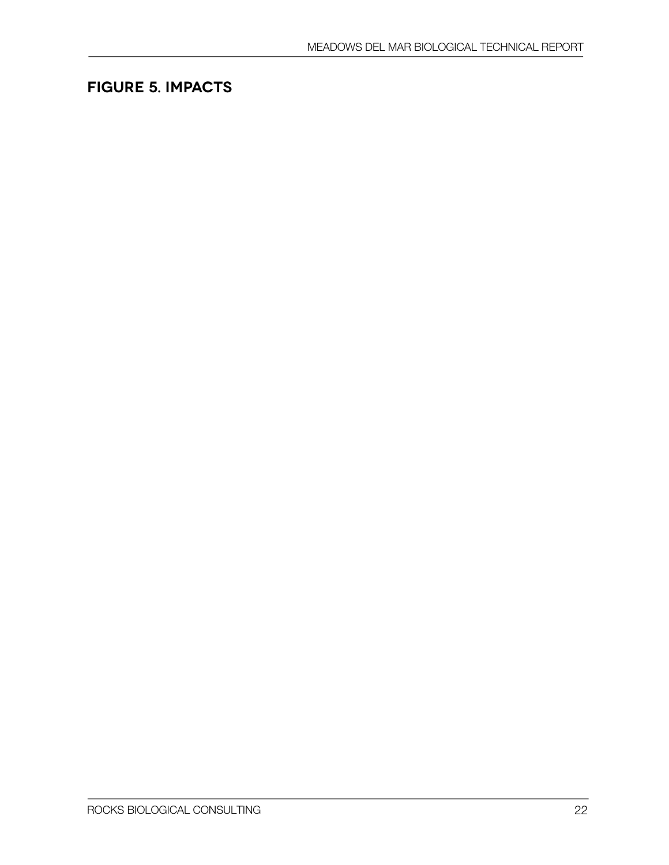# **Figure 5. Impacts**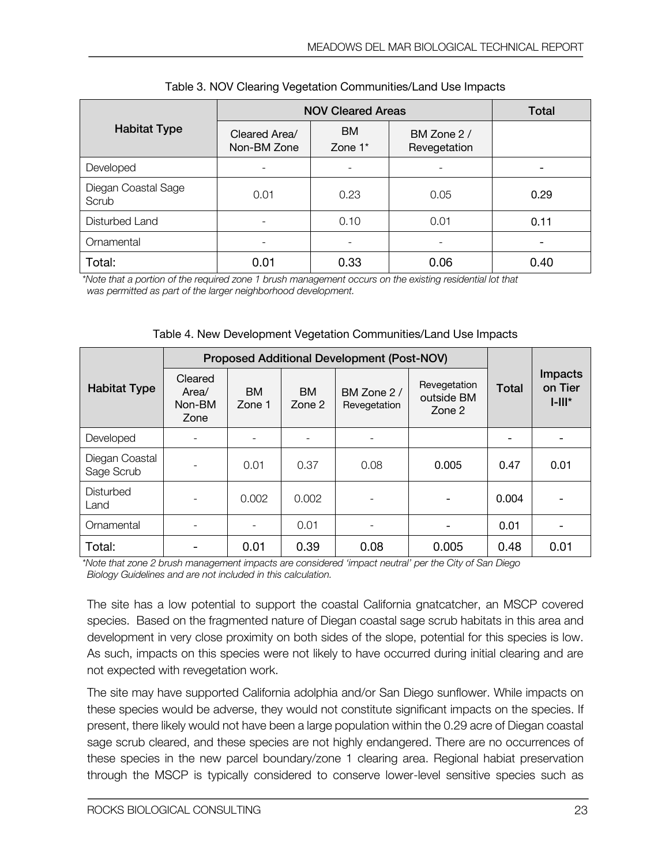|                              | <b>NOV Cleared Areas</b>     | Total                    |                             |      |
|------------------------------|------------------------------|--------------------------|-----------------------------|------|
| <b>Habitat Type</b>          | Cleared Area/<br>Non-BM Zone | BM<br>Zone $1^*$         | BM Zone 2 /<br>Revegetation |      |
| Developed                    | $\overline{\phantom{0}}$     | $\overline{\phantom{0}}$ |                             |      |
| Diegan Coastal Sage<br>Scrub | 0.01                         | 0.23                     | 0.05                        | 0.29 |
| Disturbed Land               |                              | 0.10                     | 0.01                        | 0.11 |
| Ornamental                   |                              |                          |                             |      |
| Total:                       | 0.01                         | 0.33                     | 0.06                        | 0.40 |

| Table 3. NOV Clearing Vegetation Communities/Land Use Impacts |  |
|---------------------------------------------------------------|--|
|---------------------------------------------------------------|--|

*\*Note that a portion of the required zone 1 brush management occurs on the existing residential lot that was permitted as part of the larger neighborhood development.*

| Table 4. New Development Vegetation Communities/Land Use Impacts |  |
|------------------------------------------------------------------|--|
|------------------------------------------------------------------|--|

|                              | <b>Proposed Additional Development (Post-NOV)</b> |                     |                     |                             |                                      |              |                                       |
|------------------------------|---------------------------------------------------|---------------------|---------------------|-----------------------------|--------------------------------------|--------------|---------------------------------------|
| <b>Habitat Type</b>          | Cleared<br>Area/<br>Non-BM<br>Zone                | <b>BM</b><br>Zone 1 | <b>BM</b><br>Zone 2 | BM Zone 2 /<br>Revegetation | Revegetation<br>outside BM<br>Zone 2 | <b>Total</b> | <b>Impacts</b><br>on Tier<br>$I-III*$ |
| Developed                    |                                                   |                     | -                   |                             |                                      |              | -                                     |
| Diegan Coastal<br>Sage Scrub |                                                   | 0.01                | 0.37                | 0.08                        | 0.005                                | 0.47         | 0.01                                  |
| Disturbed<br>Land            |                                                   | 0.002               | 0.002               |                             |                                      | 0.004        |                                       |
| Ornamental                   |                                                   |                     | 0.01                |                             |                                      | 0.01         |                                       |
| Total:                       |                                                   | 0.01                | 0.39                | 0.08                        | 0.005                                | 0.48         | 0.01                                  |

*\*Note that zone 2 brush management impacts are considered 'impact neutral' per the City of San Diego Biology Guidelines and are not included in this calculation.*

The site has a low potential to support the coastal California gnatcatcher, an MSCP covered species. Based on the fragmented nature of Diegan coastal sage scrub habitats in this area and development in very close proximity on both sides of the slope, potential for this species is low. As such, impacts on this species were not likely to have occurred during initial clearing and are not expected with revegetation work.

The site may have supported California adolphia and/or San Diego sunflower. While impacts on these species would be adverse, they would not constitute significant impacts on the species. If present, there likely would not have been a large population within the 0.29 acre of Diegan coastal sage scrub cleared, and these species are not highly endangered. There are no occurrences of these species in the new parcel boundary/zone 1 clearing area. Regional habiat preservation through the MSCP is typically considered to conserve lower-level sensitive species such as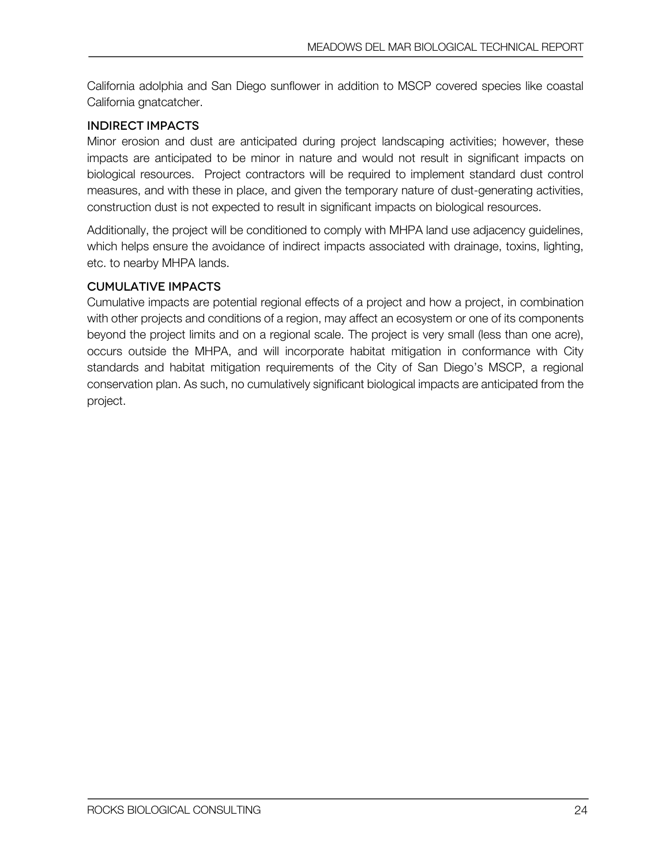California adolphia and San Diego sunflower in addition to MSCP covered species like coastal California gnatcatcher.

### Indirect Impacts

Minor erosion and dust are anticipated during project landscaping activities; however, these impacts are anticipated to be minor in nature and would not result in significant impacts on biological resources. Project contractors will be required to implement standard dust control measures, and with these in place, and given the temporary nature of dust-generating activities, construction dust is not expected to result in significant impacts on biological resources.

Additionally, the project will be conditioned to comply with MHPA land use adjacency guidelines, which helps ensure the avoidance of indirect impacts associated with drainage, toxins, lighting, etc. to nearby MHPA lands.

### Cumulative Impacts

Cumulative impacts are potential regional effects of a project and how a project, in combination with other projects and conditions of a region, may affect an ecosystem or one of its components beyond the project limits and on a regional scale. The project is very small (less than one acre), occurs outside the MHPA, and will incorporate habitat mitigation in conformance with City standards and habitat mitigation requirements of the City of San Diego's MSCP, a regional conservation plan. As such, no cumulatively significant biological impacts are anticipated from the project.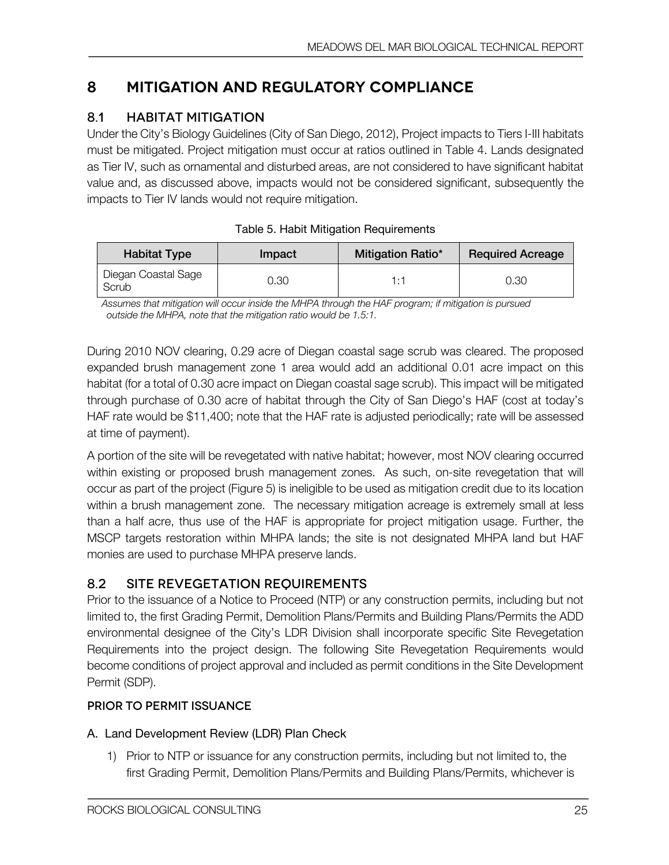# **8 Mitigation and Regulatory Compliance**

## 8.1 HABITAT MITIGATION

Under the City's Biology Guidelines (City of San Diego, 2012), Project impacts to Tiers I-III habitats must be mitigated. Project mitigation must occur at ratios outlined in Table 4. Lands designated as Tier IV, such as ornamental and disturbed areas, are not considered to have significant habitat value and, as discussed above, impacts would not be considered significant, subsequently the impacts to Tier IV lands would not require mitigation.

| <b>Habitat Type</b>          | Impact | <b>Mitigation Ratio*</b> | <b>Required Acreage</b> |
|------------------------------|--------|--------------------------|-------------------------|
| Diegan Coastal Sage<br>Scrub | J.30   | 1 + 1                    | 0.30                    |

| Table 5. Habit Mitigation Requirements |  |
|----------------------------------------|--|
|----------------------------------------|--|

*Assumes that mitigation will occur inside the MHPA through the HAF program; if mitigation is pursued outside the MHPA, note that the mitigation ratio would be 1.5:1.*

During 2010 NOV clearing, 0.29 acre of Diegan coastal sage scrub was cleared. The proposed expanded brush management zone 1 area would add an additional 0.01 acre impact on this habitat (for a total of 0.30 acre impact on Diegan coastal sage scrub). This impact will be mitigated through purchase of 0.30 acre of habitat through the City of San Diego's HAF (cost at today's HAF rate would be \$11,400; note that the HAF rate is adjusted periodically; rate will be assessed at time of payment).

A portion of the site will be revegetated with native habitat; however, most NOV clearing occurred within existing or proposed brush management zones. As such, on-site revegetation that will occur as part of the project (Figure 5) is ineligible to be used as mitigation credit due to its location within a brush management zone. The necessary mitigation acreage is extremely small at less than a half acre, thus use of the HAF is appropriate for project mitigation usage. Further, the MSCP targets restoration within MHPA lands; the site is not designated MHPA land but HAF monies are used to purchase MHPA preserve lands.

### 8.2 SITE REVEGETATION REQUIREMENTS

Prior to the issuance of a Notice to Proceed (NTP) or any construction permits, including but not limited to, the first Grading Permit, Demolition Plans/Permits and Building Plans/Permits the ADD environmental designee of the City's LDR Division shall incorporate specific Site Revegetation Requirements into the project design. The following Site Revegetation Requirements would become conditions of project approval and included as permit conditions in the Site Development Permit (SDP).

### Prior to Permit Issuance

### A. Land Development Review (LDR) Plan Check

1) Prior to NTP or issuance for any construction permits, including but not limited to, the first Grading Permit, Demolition Plans/Permits and Building Plans/Permits, whichever is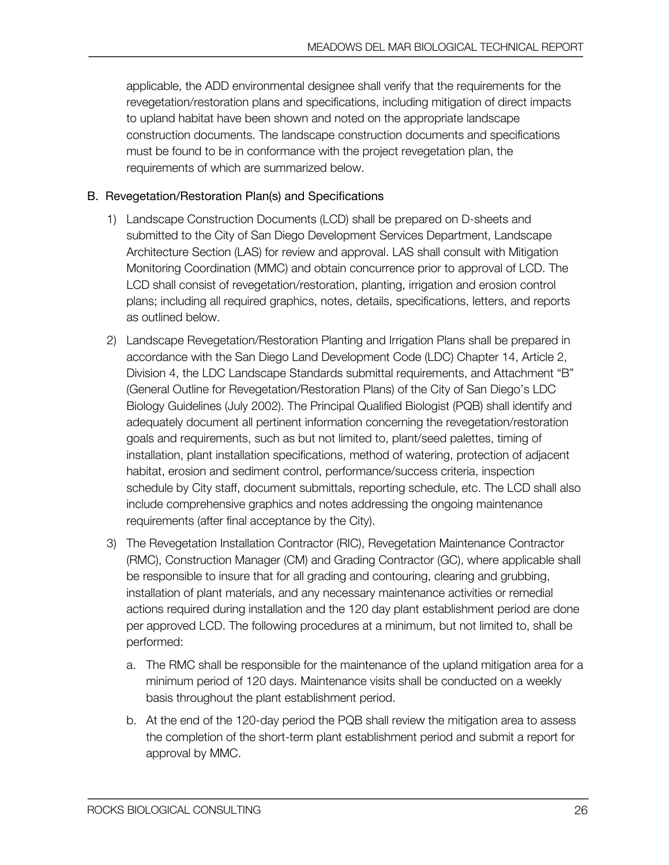applicable, the ADD environmental designee shall verify that the requirements for the revegetation/restoration plans and specifications, including mitigation of direct impacts to upland habitat have been shown and noted on the appropriate landscape construction documents. The landscape construction documents and specifications must be found to be in conformance with the project revegetation plan, the requirements of which are summarized below.

### B. Revegetation/Restoration Plan(s) and Specifications

- 1) Landscape Construction Documents (LCD) shall be prepared on D-sheets and submitted to the City of San Diego Development Services Department, Landscape Architecture Section (LAS) for review and approval. LAS shall consult with Mitigation Monitoring Coordination (MMC) and obtain concurrence prior to approval of LCD. The LCD shall consist of revegetation/restoration, planting, irrigation and erosion control plans; including all required graphics, notes, details, specifications, letters, and reports as outlined below.
- 2) Landscape Revegetation/Restoration Planting and Irrigation Plans shall be prepared in accordance with the San Diego Land Development Code (LDC) Chapter 14, Article 2, Division 4, the LDC Landscape Standards submittal requirements, and Attachment "B" (General Outline for Revegetation/Restoration Plans) of the City of San Diego's LDC Biology Guidelines (July 2002). The Principal Qualified Biologist (PQB) shall identify and adequately document all pertinent information concerning the revegetation/restoration goals and requirements, such as but not limited to, plant/seed palettes, timing of installation, plant installation specifications, method of watering, protection of adjacent habitat, erosion and sediment control, performance/success criteria, inspection schedule by City staff, document submittals, reporting schedule, etc. The LCD shall also include comprehensive graphics and notes addressing the ongoing maintenance requirements (after final acceptance by the City).
- 3) The Revegetation Installation Contractor (RIC), Revegetation Maintenance Contractor (RMC), Construction Manager (CM) and Grading Contractor (GC), where applicable shall be responsible to insure that for all grading and contouring, clearing and grubbing, installation of plant materials, and any necessary maintenance activities or remedial actions required during installation and the 120 day plant establishment period are done per approved LCD. The following procedures at a minimum, but not limited to, shall be performed:
	- a. The RMC shall be responsible for the maintenance of the upland mitigation area for a minimum period of 120 days. Maintenance visits shall be conducted on a weekly basis throughout the plant establishment period.
	- b. At the end of the 120-day period the PQB shall review the mitigation area to assess the completion of the short-term plant establishment period and submit a report for approval by MMC.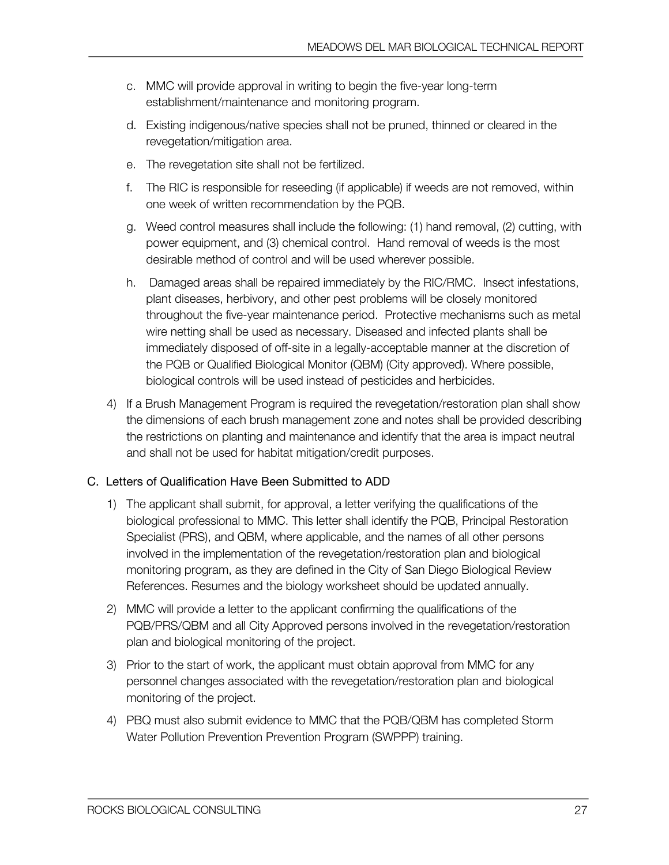- c. MMC will provide approval in writing to begin the five-year long-term establishment/maintenance and monitoring program.
- d. Existing indigenous/native species shall not be pruned, thinned or cleared in the revegetation/mitigation area.
- e. The revegetation site shall not be fertilized.
- f. The RIC is responsible for reseeding (if applicable) if weeds are not removed, within one week of written recommendation by the PQB.
- g. Weed control measures shall include the following: (1) hand removal, (2) cutting, with power equipment, and (3) chemical control. Hand removal of weeds is the most desirable method of control and will be used wherever possible.
- h. Damaged areas shall be repaired immediately by the RIC/RMC. Insect infestations, plant diseases, herbivory, and other pest problems will be closely monitored throughout the five-year maintenance period. Protective mechanisms such as metal wire netting shall be used as necessary. Diseased and infected plants shall be immediately disposed of off-site in a legally-acceptable manner at the discretion of the PQB or Qualified Biological Monitor (QBM) (City approved). Where possible, biological controls will be used instead of pesticides and herbicides.
- 4) If a Brush Management Program is required the revegetation/restoration plan shall show the dimensions of each brush management zone and notes shall be provided describing the restrictions on planting and maintenance and identify that the area is impact neutral and shall not be used for habitat mitigation/credit purposes.

### C. Letters of Qualification Have Been Submitted to ADD

- 1) The applicant shall submit, for approval, a letter verifying the qualifications of the biological professional to MMC. This letter shall identify the PQB, Principal Restoration Specialist (PRS), and QBM, where applicable, and the names of all other persons involved in the implementation of the revegetation/restoration plan and biological monitoring program, as they are defined in the City of San Diego Biological Review References. Resumes and the biology worksheet should be updated annually.
- 2) MMC will provide a letter to the applicant confirming the qualifications of the PQB/PRS/QBM and all City Approved persons involved in the revegetation/restoration plan and biological monitoring of the project.
- 3) Prior to the start of work, the applicant must obtain approval from MMC for any personnel changes associated with the revegetation/restoration plan and biological monitoring of the project.
- 4) PBQ must also submit evidence to MMC that the PQB/QBM has completed Storm Water Pollution Prevention Prevention Program (SWPPP) training.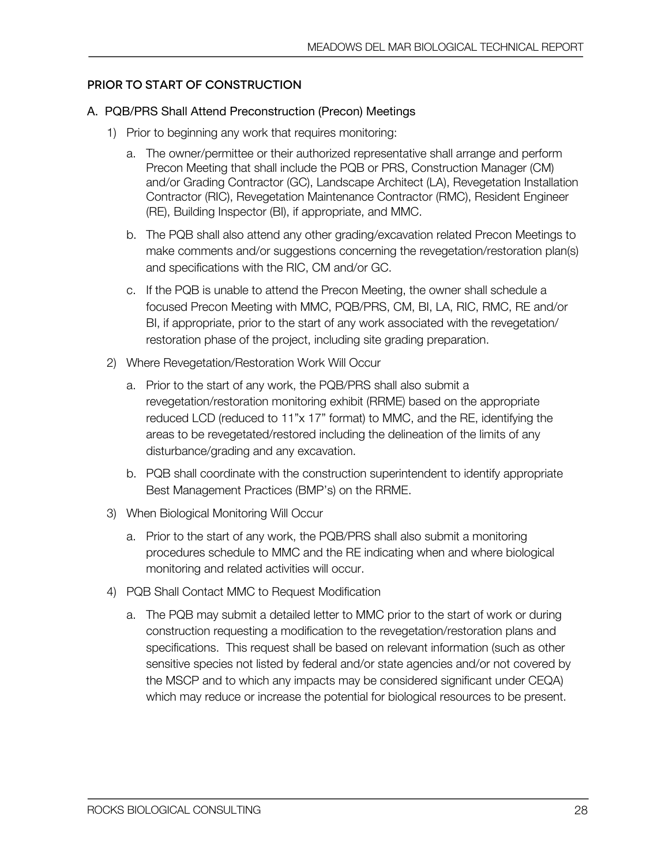#### Prior to Start of Construction

#### A. PQB/PRS Shall Attend Preconstruction (Precon) Meetings

- 1) Prior to beginning any work that requires monitoring:
	- a. The owner/permittee or their authorized representative shall arrange and perform Precon Meeting that shall include the PQB or PRS, Construction Manager (CM) and/or Grading Contractor (GC), Landscape Architect (LA), Revegetation Installation Contractor (RIC), Revegetation Maintenance Contractor (RMC), Resident Engineer (RE), Building Inspector (BI), if appropriate, and MMC.
	- b. The PQB shall also attend any other grading/excavation related Precon Meetings to make comments and/or suggestions concerning the revegetation/restoration plan(s) and specifications with the RIC, CM and/or GC.
	- c. If the PQB is unable to attend the Precon Meeting, the owner shall schedule a focused Precon Meeting with MMC, PQB/PRS, CM, BI, LA, RIC, RMC, RE and/or BI, if appropriate, prior to the start of any work associated with the revegetation/ restoration phase of the project, including site grading preparation.
- 2) Where Revegetation/Restoration Work Will Occur
	- a. Prior to the start of any work, the PQB/PRS shall also submit a revegetation/restoration monitoring exhibit (RRME) based on the appropriate reduced LCD (reduced to 11"x 17" format) to MMC, and the RE, identifying the areas to be revegetated/restored including the delineation of the limits of any disturbance/grading and any excavation.
	- b. PQB shall coordinate with the construction superintendent to identify appropriate Best Management Practices (BMP's) on the RRME.
- 3) When Biological Monitoring Will Occur
	- a. Prior to the start of any work, the PQB/PRS shall also submit a monitoring procedures schedule to MMC and the RE indicating when and where biological monitoring and related activities will occur.
- 4) PQB Shall Contact MMC to Request Modification
	- a. The PQB may submit a detailed letter to MMC prior to the start of work or during construction requesting a modification to the revegetation/restoration plans and specifications. This request shall be based on relevant information (such as other sensitive species not listed by federal and/or state agencies and/or not covered by the MSCP and to which any impacts may be considered significant under CEQA) which may reduce or increase the potential for biological resources to be present.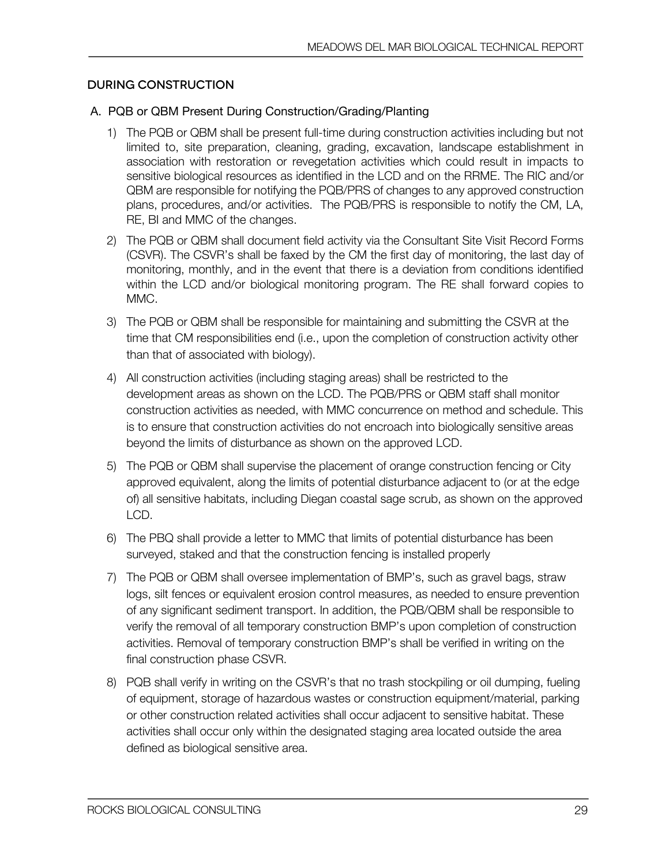#### During Construction

#### A. PQB or QBM Present During Construction/Grading/Planting

- 1) The PQB or QBM shall be present full-time during construction activities including but not limited to, site preparation, cleaning, grading, excavation, landscape establishment in association with restoration or revegetation activities which could result in impacts to sensitive biological resources as identified in the LCD and on the RRME. The RIC and/or QBM are responsible for notifying the PQB/PRS of changes to any approved construction plans, procedures, and/or activities. The PQB/PRS is responsible to notify the CM, LA, RE, BI and MMC of the changes.
- 2) The PQB or QBM shall document field activity via the Consultant Site Visit Record Forms (CSVR). The CSVR's shall be faxed by the CM the first day of monitoring, the last day of monitoring, monthly, and in the event that there is a deviation from conditions identified within the LCD and/or biological monitoring program. The RE shall forward copies to MMC.
- 3) The PQB or QBM shall be responsible for maintaining and submitting the CSVR at the time that CM responsibilities end (i.e., upon the completion of construction activity other than that of associated with biology).
- 4) All construction activities (including staging areas) shall be restricted to the development areas as shown on the LCD. The PQB/PRS or QBM staff shall monitor construction activities as needed, with MMC concurrence on method and schedule. This is to ensure that construction activities do not encroach into biologically sensitive areas beyond the limits of disturbance as shown on the approved LCD.
- 5) The PQB or QBM shall supervise the placement of orange construction fencing or City approved equivalent, along the limits of potential disturbance adjacent to (or at the edge of) all sensitive habitats, including Diegan coastal sage scrub, as shown on the approved LCD.
- 6) The PBQ shall provide a letter to MMC that limits of potential disturbance has been surveyed, staked and that the construction fencing is installed properly
- 7) The PQB or QBM shall oversee implementation of BMP's, such as gravel bags, straw logs, silt fences or equivalent erosion control measures, as needed to ensure prevention of any significant sediment transport. In addition, the PQB/QBM shall be responsible to verify the removal of all temporary construction BMP's upon completion of construction activities. Removal of temporary construction BMP's shall be verified in writing on the final construction phase CSVR.
- 8) PQB shall verify in writing on the CSVR's that no trash stockpiling or oil dumping, fueling of equipment, storage of hazardous wastes or construction equipment/material, parking or other construction related activities shall occur adjacent to sensitive habitat. These activities shall occur only within the designated staging area located outside the area defined as biological sensitive area.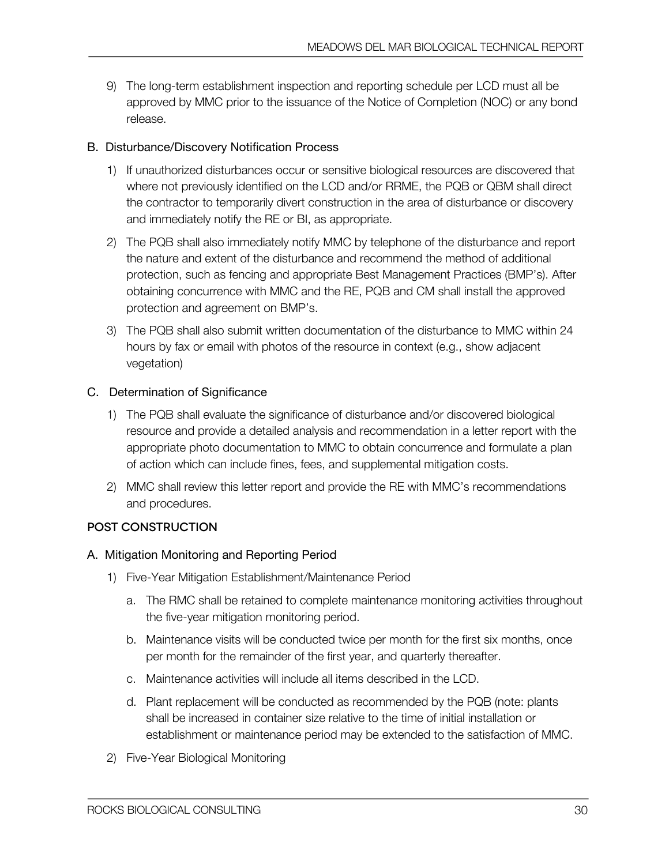9) The long-term establishment inspection and reporting schedule per LCD must all be approved by MMC prior to the issuance of the Notice of Completion (NOC) or any bond release.

### B. Disturbance/Discovery Notification Process

- 1) If unauthorized disturbances occur or sensitive biological resources are discovered that where not previously identified on the LCD and/or RRME, the PQB or QBM shall direct the contractor to temporarily divert construction in the area of disturbance or discovery and immediately notify the RE or BI, as appropriate.
- 2) The PQB shall also immediately notify MMC by telephone of the disturbance and report the nature and extent of the disturbance and recommend the method of additional protection, such as fencing and appropriate Best Management Practices (BMP's). After obtaining concurrence with MMC and the RE, PQB and CM shall install the approved protection and agreement on BMP's.
- 3) The PQB shall also submit written documentation of the disturbance to MMC within 24 hours by fax or email with photos of the resource in context (e.g., show adjacent vegetation)

### C. Determination of Significance

- 1) The PQB shall evaluate the significance of disturbance and/or discovered biological resource and provide a detailed analysis and recommendation in a letter report with the appropriate photo documentation to MMC to obtain concurrence and formulate a plan of action which can include fines, fees, and supplemental mitigation costs.
- 2) MMC shall review this letter report and provide the RE with MMC's recommendations and procedures.

### Post Construction

### A. Mitigation Monitoring and Reporting Period

- 1) Five-Year Mitigation Establishment/Maintenance Period
	- a. The RMC shall be retained to complete maintenance monitoring activities throughout the five-year mitigation monitoring period.
	- b. Maintenance visits will be conducted twice per month for the first six months, once per month for the remainder of the first year, and quarterly thereafter.
	- c. Maintenance activities will include all items described in the LCD.
	- d. Plant replacement will be conducted as recommended by the PQB (note: plants shall be increased in container size relative to the time of initial installation or establishment or maintenance period may be extended to the satisfaction of MMC.
- 2) Five-Year Biological Monitoring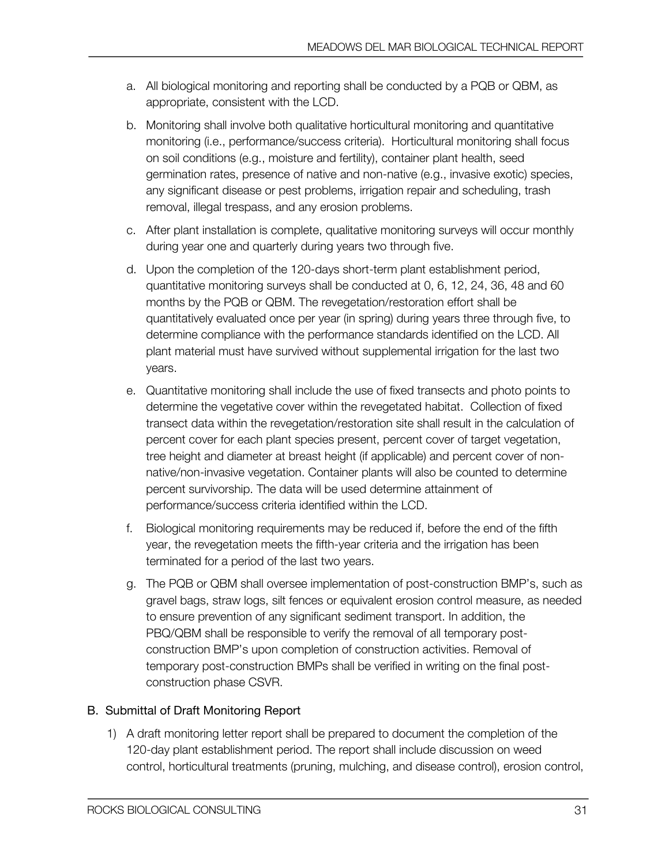- a. All biological monitoring and reporting shall be conducted by a PQB or QBM, as appropriate, consistent with the LCD.
- b. Monitoring shall involve both qualitative horticultural monitoring and quantitative monitoring (i.e., performance/success criteria). Horticultural monitoring shall focus on soil conditions (e.g., moisture and fertility), container plant health, seed germination rates, presence of native and non-native (e.g., invasive exotic) species, any significant disease or pest problems, irrigation repair and scheduling, trash removal, illegal trespass, and any erosion problems.
- c. After plant installation is complete, qualitative monitoring surveys will occur monthly during year one and quarterly during years two through five.
- d. Upon the completion of the 120-days short-term plant establishment period, quantitative monitoring surveys shall be conducted at 0, 6, 12, 24, 36, 48 and 60 months by the PQB or QBM. The revegetation/restoration effort shall be quantitatively evaluated once per year (in spring) during years three through five, to determine compliance with the performance standards identified on the LCD. All plant material must have survived without supplemental irrigation for the last two years.
- e. Quantitative monitoring shall include the use of fixed transects and photo points to determine the vegetative cover within the revegetated habitat. Collection of fixed transect data within the revegetation/restoration site shall result in the calculation of percent cover for each plant species present, percent cover of target vegetation, tree height and diameter at breast height (if applicable) and percent cover of nonnative/non-invasive vegetation. Container plants will also be counted to determine percent survivorship. The data will be used determine attainment of performance/success criteria identified within the LCD.
- f. Biological monitoring requirements may be reduced if, before the end of the fifth year, the revegetation meets the fifth-year criteria and the irrigation has been terminated for a period of the last two years.
- g. The PQB or QBM shall oversee implementation of post-construction BMP's, such as gravel bags, straw logs, silt fences or equivalent erosion control measure, as needed to ensure prevention of any significant sediment transport. In addition, the PBQ/QBM shall be responsible to verify the removal of all temporary postconstruction BMP's upon completion of construction activities. Removal of temporary post-construction BMPs shall be verified in writing on the final postconstruction phase CSVR.

### B. Submittal of Draft Monitoring Report

1) A draft monitoring letter report shall be prepared to document the completion of the 120-day plant establishment period. The report shall include discussion on weed control, horticultural treatments (pruning, mulching, and disease control), erosion control,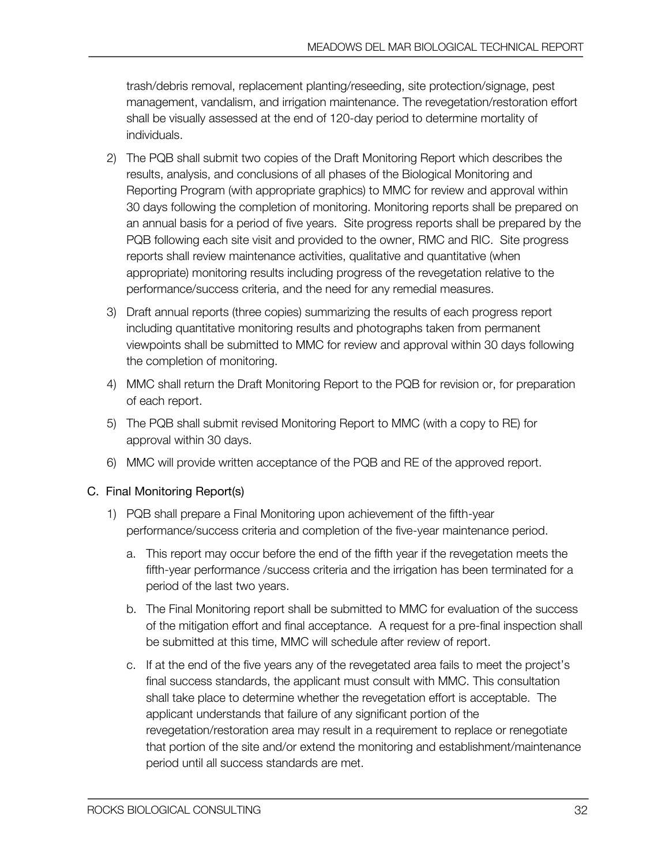trash/debris removal, replacement planting/reseeding, site protection/signage, pest management, vandalism, and irrigation maintenance. The revegetation/restoration effort shall be visually assessed at the end of 120-day period to determine mortality of individuals.

- 2) The PQB shall submit two copies of the Draft Monitoring Report which describes the results, analysis, and conclusions of all phases of the Biological Monitoring and Reporting Program (with appropriate graphics) to MMC for review and approval within 30 days following the completion of monitoring. Monitoring reports shall be prepared on an annual basis for a period of five years. Site progress reports shall be prepared by the PQB following each site visit and provided to the owner, RMC and RIC. Site progress reports shall review maintenance activities, qualitative and quantitative (when appropriate) monitoring results including progress of the revegetation relative to the performance/success criteria, and the need for any remedial measures.
- 3) Draft annual reports (three copies) summarizing the results of each progress report including quantitative monitoring results and photographs taken from permanent viewpoints shall be submitted to MMC for review and approval within 30 days following the completion of monitoring.
- 4) MMC shall return the Draft Monitoring Report to the PQB for revision or, for preparation of each report.
- 5) The PQB shall submit revised Monitoring Report to MMC (with a copy to RE) for approval within 30 days.
- 6) MMC will provide written acceptance of the PQB and RE of the approved report.

### C. Final Monitoring Report(s)

- 1) PQB shall prepare a Final Monitoring upon achievement of the fifth-year performance/success criteria and completion of the five-year maintenance period.
	- a. This report may occur before the end of the fifth year if the revegetation meets the fifth-year performance /success criteria and the irrigation has been terminated for a period of the last two years.
	- b. The Final Monitoring report shall be submitted to MMC for evaluation of the success of the mitigation effort and final acceptance. A request for a pre-final inspection shall be submitted at this time, MMC will schedule after review of report.
	- c. If at the end of the five years any of the revegetated area fails to meet the project's final success standards, the applicant must consult with MMC. This consultation shall take place to determine whether the revegetation effort is acceptable. The applicant understands that failure of any significant portion of the revegetation/restoration area may result in a requirement to replace or renegotiate that portion of the site and/or extend the monitoring and establishment/maintenance period until all success standards are met.